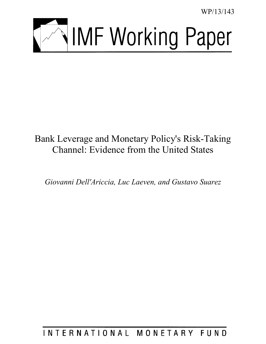WP/13/143



# Bank Leverage and Monetary Policy's Risk-Taking Channel: Evidence from the United States

*Giovanni Dell'Ariccia, Luc Laeven, and Gustavo Suarez* 

INTERNATIONAL MONETARY FUND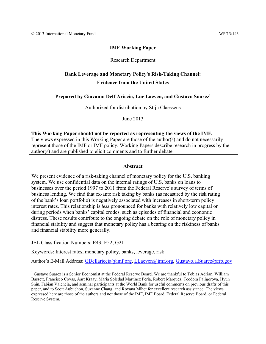## **IMF Working Paper**

#### Research Department

## **Bank Leverage and Monetary Policy's Risk-Taking Channel: Evidence from the United States**

#### **Prepared by Giovanni Dell'Ariccia, Luc Laeven, and Gustavo Suarez1**

Authorized for distribution by Stijn Claessens

June 2013

**This Working Paper should not be reported as representing the views of the IMF.**  The views expressed in this Working Paper are those of the author(s) and do not necessarily represent those of the IMF or IMF policy. Working Papers describe research in progress by the author(s) and are published to elicit comments and to further debate.

#### **Abstract**

We present evidence of a risk-taking channel of monetary policy for the U.S. banking system. We use confidential data on the internal ratings of U.S. banks on loans to businesses over the period 1997 to 2011 from the Federal Reserve's survey of terms of business lending. We find that ex-ante risk taking by banks (as measured by the risk rating of the bank's loan portfolio) is negatively associated with increases in short-term policy interest rates. This relationship is *less* pronounced for banks with relatively low capital or during periods when banks' capital erodes, such as episodes of financial and economic distress. These results contribute to the ongoing debate on the role of monetary policy in financial stability and suggest that monetary policy has a bearing on the riskiness of banks and financial stability more generally.

JEL Classification Numbers: E43; E52; G21

 $\overline{a}$ 

Keywords: Interest rates, monetary policy, banks, leverage, risk

Author's E-Mail Address: GDellariccia@imf.org, LLaeven@imf.org, Gustavo.a.Suarez@frb.gov

<sup>&</sup>lt;sup>1</sup> Gustavo Suarez is a Senior Economist at the Federal Reserve Board. We are thankful to Tobias Adrian, William Bassett, Francisco Covas, Aart Kraay, Maria Soledad Martinez Peria, Robert Marquez, Teodora Paligorova, Hyun Shin, Fabian Valencia, and seminar participants at the World Bank for useful comments on previous drafts of this paper, and to Scott Aubuchon, Suzanne Chang, and Roxana Mihet for excellent research assistance. The views expressed here are those of the authors and not those of the IMF, IMF Board, Federal Reserve Board, or Federal Reserve System.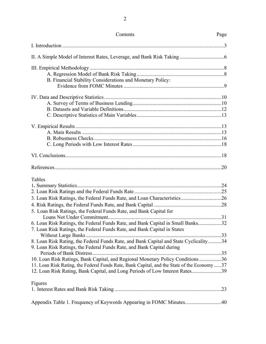| Contents                                                                                                                                                        | Page |
|-----------------------------------------------------------------------------------------------------------------------------------------------------------------|------|
|                                                                                                                                                                 |      |
|                                                                                                                                                                 |      |
|                                                                                                                                                                 |      |
|                                                                                                                                                                 |      |
| B. Financial Stability Considerations and Monetary Policy:                                                                                                      |      |
|                                                                                                                                                                 |      |
|                                                                                                                                                                 |      |
|                                                                                                                                                                 |      |
|                                                                                                                                                                 |      |
|                                                                                                                                                                 |      |
|                                                                                                                                                                 |      |
|                                                                                                                                                                 |      |
|                                                                                                                                                                 |      |
|                                                                                                                                                                 |      |
|                                                                                                                                                                 |      |
|                                                                                                                                                                 |      |
| Tables                                                                                                                                                          |      |
|                                                                                                                                                                 |      |
|                                                                                                                                                                 |      |
|                                                                                                                                                                 |      |
|                                                                                                                                                                 |      |
| 5. Loan Risk Ratings, the Federal Funds Rate, and Bank Capital for                                                                                              |      |
|                                                                                                                                                                 |      |
| 6. Loan Risk Ratings, the Federal Funds Rate, and Bank Capital in Small Banks32                                                                                 |      |
| 7. Loan Risk Ratings, the Federal Funds Rate, and Bank Capital in States                                                                                        |      |
|                                                                                                                                                                 |      |
| 8. Loan Risk Rating, the Federal Funds Rate, and Bank Capital and State Cyclicality 34<br>9. Loan Risk Ratings, the Federal Funds Rate, and Bank Capital during |      |
|                                                                                                                                                                 |      |
| 10. Loan Risk Ratings, Bank Capital, and Regional Monetary Policy Conditions 36                                                                                 |      |
| 11. Loan Risk Rating, the Federal Funds Rate, Bank Capital, and the State of the Economy 37                                                                     |      |
| 12. Loan Risk Rating, Bank Capital, and Long Periods of Low Interest Rates39                                                                                    |      |
| Figures                                                                                                                                                         |      |
|                                                                                                                                                                 |      |
| Appendix Table 1. Frequency of Keywords Appearing in FOMC Minutes40                                                                                             |      |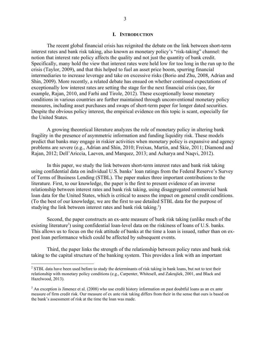#### **I. INTRODUCTION**

The recent global financial crisis has reignited the debate on the link between short-term interest rates and bank risk taking, also known as monetary policy's "risk-taking" channel: the notion that interest rate policy affects the quality and not just the quantity of bank credit. Specifically, many hold the view that interest rates were held low for too long in the run up to the crisis (Taylor, 2009), and that this helped to fuel an asset price boom, spurring financial intermediaries to increase leverage and take on excessive risks (Borio and Zhu, 2008, Adrian and Shin, 2009). More recently, a related debate has ensued on whether continued expectations of exceptionally low interest rates are setting the stage for the next financial crisis (see, for example, Rajan, 2010, and Farhi and Tirole, 2012). These exceptionally loose monetary conditions in various countries are further maintained through unconventional monetary policy measures, including asset purchases and swaps of short-term paper for longer dated securities. Despite the obvious policy interest, the empirical evidence on this topic is scant, especially for the United States.

A growing theoretical literature analyzes the role of monetary policy in altering bank fragility in the presence of asymmetric information and funding liquidity risk. These models predict that banks may engage in riskier activities when monetary policy is expansive and agency problems are severe (e.g., Adrian and Shin, 2010; Freixas, Martin, and Skie, 2011; Diamond and Rajan, 2012; Dell'Ariccia, Laeven, and Marquez, 2013; and Acharya and Naqvi, 2012).

In this paper, we study the link between short-term interest rates and bank risk taking using confidential data on individual U.S. banks' loan ratings from the Federal Reserve's Survey of Terms of Business Lending (STBL). The paper makes three important contributions to the literature. First, to our knowledge, the paper is the first to present evidence of an inverse relationship between interest rates and bank risk taking, using disaggregated commercial bank loan data for the United States, which is critical to assess the impact on general credit conditions. (To the best of our knowledge, we are the first to use detailed STBL data for the purpose of studying the link between interest rates and bank risk taking.<sup>2</sup>)

Second, the paper constructs an ex-ante measure of bank risk taking (unlike much of the existing literature<sup>3</sup>) using confidential loan-level data on the riskiness of loans of U.S. banks. This allows us to focus on the risk attitude of banks at the time a loan is issued, rather than on expost loan performance which could be affected by subsequent events.

Third, the paper links the strength of the relationship between policy rates and bank risk taking to the capital structure of the banking system. This provides a link with an important

<u>.</u>

 $2^2$  STBL data have been used before to study the determinants of risk taking in bank loans, but not to test their relationship with monetary policy conditions (e.g., Carpenter, Whitesell, and Zakrajšek, 2001, and Black and Hazelwood, 2013).

 $3$  An exception is Jimenez et al. (2008) who use credit history information on past doubtful loans as an ex ante measure of firm credit risk. Our measure of ex ante risk taking differs from their in the sense that ours is based on the bank's assessment of risk at the time the loan was made.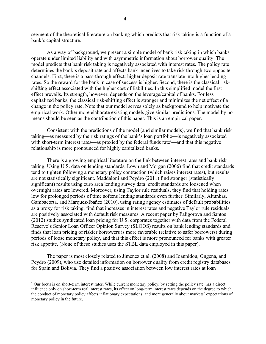segment of the theoretical literature on banking which predicts that risk taking is a function of a bank's capital structure.

As a way of background, we present a simple model of bank risk taking in which banks operate under limited liability and with asymmetric information about borrower quality. The model predicts that bank risk taking is negatively associated with interest rates. The policy rate determines the bank's deposit rate and affects bank incentives to take risk through two opposite channels. First, there is a pass-through effect: higher deposit rate translate into higher lending rates. So the reward for the bank in case of success is higher. Second, there is the classical riskshifting effect associated with the higher cost of liabilities. In this simplified model the first effect prevails. Its strength, however, depends on the leverage/capital of banks. For less capitalized banks, the classical risk-shifting effect is stronger and minimizes the net effect of a change in the policy rate. Note that our model serves solely as background to help motivate the empirical work. Other more elaborate existing models give similar predictions. The model by no means should be seen as the contribution of this paper. This is an empirical paper.

Consistent with the predictions of the model (and similar models), we find that bank risk taking—as measured by the risk ratings of the bank's loan portfolio—is negatively associated with short-term interest rates—as proxied by the federal funds rate<sup>4</sup>—and that this negative relationship is more pronounced for highly capitalized banks.

There is a growing empirical literature on the link between interest rates and bank risk taking. Using U.S. data on lending standards, Lown and Morgan (2006) find that credit standards tend to tighten following a monetary policy contraction (which raises interest rates), but results are not statistically significant. Maddaloni and Peydro (2011) find stronger (statistically significant) results using euro area lending survey data: credit standards are loosened when overnight rates are lowered. Moreover, using Taylor rule residuals, they find that holding rates low for prolonged periods of time softens lending standards even further. Similarly, Altunbas, Gambacorta, and Marquez-Ibañez (2010), using rating agency estimates of default probabilities as a proxy for risk taking, find that increases in interest rates and negative Taylor rule residuals are positively associated with default risk measures. A recent paper by Paligorova and Santos (2012) studies syndicated loan pricing for U.S. corporates together with data from the Federal Reserve's Senior Loan Officer Opinion Survey (SLOOS) results on bank lending standards and finds that loan pricing of riskier borrowers is more favorable (relative to safer borrowers) during periods of loose monetary policy, and that this effect is more pronounced for banks with greater risk appetite. (None of these studies uses the STBL data employed in this paper).

The paper is most closely related to Jimenez et al. (2008) and Ioannidou, Ongena, and Peydro (2009), who use detailed information on borrower quality from credit registry databases for Spain and Bolivia. They find a positive association between low interest rates at loan

<sup>&</sup>lt;sup>4</sup> Our focus is on short-term interest rates. While current monetary policy, by setting the policy rate, has a direct influence only on short-term real interest rates, its effect on long-term interest rates depends on the degree to which the conduct of monetary policy affects inflationary expectations, and more generally about markets' expectations of monetary policy in the future.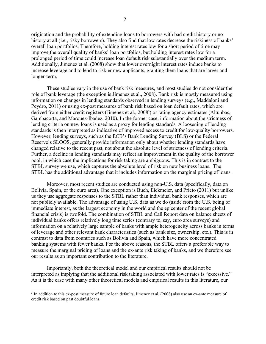origination and the probability of extending loans to borrowers with bad credit history or no history at all (i.e., risky borrowers). They also find that low rates decrease the riskiness of banks' overall loan portfolios. Therefore, holding interest rates low for a short period of time may improve the overall quality of banks' loan portfolios, but holding interest rates low for a prolonged period of time could increase loan default risk substantially over the medium term. Additionally, Jimenez et al. (2008) show that lower overnight interest rates induce banks to increase leverage and to lend to riskier new applicants, granting them loans that are larger and longer-term.

These studies vary in the use of bank risk measures, and most studies do not consider the role of bank leverage (the exception is Jimenez et al., 2008). Bank risk is mostly measured using information on changes in lending standards observed in lending surveys (e.g., Maddaloni and Peydro, 2011) or using ex-post measures of bank risk based on loan default rates, which are derived from either credit registers (Jimenez et al., 2008<sup>5</sup>) or rating agency estimates (Altunbas, Gambacorta, and Marquez-Ibañez, 2010). In the former case, information about the strictness of lending criteria on new loans is used as a proxy for lending standards. A loosening of lending standards is then interpreted as indicative of improved access to credit for low-quality borrowers. However, lending surveys, such as the ECB's Bank Lending Survey (BLS) or the Federal Reserve's SLOOS, generally provide information only about whether lending standards have changed relative to the recent past, not about the absolute level of strictness of lending criteria. Further, a decline in lending standards may reflect an improvement in the quality of the borrower pool, in which case the implications for risk taking are ambiguous. This is in contrast to the STBL survey we use, which captures the absolute level of risk on new business loans. The STBL has the additional advantage that it includes information on the marginal pricing of loans.

Moreover, most recent studies are conducted using non-U.S. data (specifically, data on Bolivia, Spain, or the euro area). One exception is Buch, Eickmeier, and Prieto (2011) but unlike us they use aggregate responses to the STBL rather than individual bank responses, which are not publicly available. The advantage of using U.S. data as we do (aside from the U.S. being of immediate interest, as the largest economy in the world and the epicenter of the recent global financial crisis) is twofold. The combination of STBL and Call Report data on balance sheets of individual banks offers relatively long time series (contrary to, say, euro area surveys) and information on a relatively large sample of banks with ample heterogeneity across banks in terms of leverage and other relevant bank characteristics (such as bank size, ownership, etc.). This is in contrast to data from countries such as Bolivia and Spain, which have more concentrated banking systems with fewer banks. For the above reasons, the STBL offers a preferable way to measure the marginal pricing of loans and the ex-ante risk taking of banks, and we therefore see our results as an important contribution to the literature.

Importantly, both the theoretical model and our empirical results should not be interpreted as implying that the additional risk taking associated with lower rates is "excessive." As it is the case with many other theoretical models and empirical results in this literature, our

 $<sup>5</sup>$  In addition to this ex-post measure of future loan defaults, Jimenez et al. (2008) also use an ex-ante measure of</sup> credit risk based on past doubtful loans.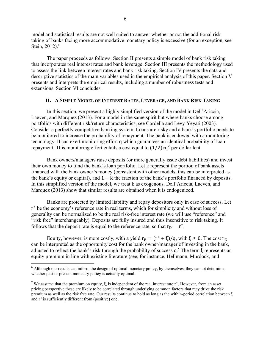model and statistical results are not well suited to answer whether or not the additional risk taking of banks facing more accommodative monetary policy is excessive (for an exception, see Stein,  $2012$ ). $^{6}$ 

The paper proceeds as follows: Section II presents a simple model of bank risk taking that incorporates real interest rates and bank leverage. Section III presents the methodology used to assess the link between interest rates and bank risk taking. Section IV presents the data and descriptive statistics of the main variables used in the empirical analysis of this paper. Section V presents and interprets the empirical results, including a number of robustness tests and extensions. Section VI concludes.

## **II. A SIMPLE MODEL OF INTEREST RATES, LEVERAGE, AND BANK RISK TAKING**

In this section, we present a highly simplified version of the model in Dell'Ariccia, Laeven, and Marquez (2013). For a model in the same spirit but where banks choose among portfolios with different risk/return characteristics, see Cordella and Levy-Yeyati (2003). Consider a perfectly competitive banking system. Loans are risky and a bank's portfolio needs to be monitored to increase the probability of repayment. The bank is endowed with a monitoring technology. It can exert monitoring effort q which guarantees an identical probability of loan repayment. This monitoring effort entails a cost equal to  $(1/2)ca<sup>2</sup>$  per dollar lent.

Bank owners/managers raise deposits (or more generally issue debt liabilities) and invest their own money to fund the bank's loan portfolio. Let k represent the portion of bank assets financed with the bank owner's money (consistent with other models, this can be interpreted as the bank's equity or capital), and  $1 - k$  the fraction of the bank's portfolio financed by deposits. In this simplified version of the model, we treat k as exogenous. Dell'Ariccia, Laeven, and Marquez (2013) show that similar results are obtained when k is endogenized.

Banks are protected by limited liability and repay depositors only in case of success. Let r<sup>\*</sup> be the economy's reference rate in real terms, which for simplicity and without loss of generality can be normalized to be the real risk-free interest rate (we will use "reference" and "risk free" interchangeably). Deposits are fully insured and thus insensitive to risk taking. It follows that the deposit rate is equal to the reference rate, so that  $r_D = r^*$ .

Equity, however, is more costly, with a yield  $r_E = (r^* + \xi)/q$ , with  $\xi \ge 0$ . The cost  $r_E$ can be interpreted as the opportunity cost for the bank owner/manager of investing in the bank, adjusted to reflect the bank's risk through the probability of success q. 7 The term ξ represents an equity premium in line with existing literature (see, for instance, Hellmann, Murdock, and

<sup>&</sup>lt;sup>6</sup> Although our results can inform the design of optimal monetary policy, by themselves, they cannot determine whether past or present monetary policy is actually optimal.

<sup>&</sup>lt;sup>7</sup> We assume that the premium on equity,  $\xi$ , is independent of the real interest rate r<sup>\*</sup>. However, from an asset pricing perspective these are likely to be correlated through underlying common factors that may drive the risk premium as well as the risk free rate. Our results continue to hold as long as the within-period correlation between ξ and  $r^*$  is sufficiently different from (positive) one.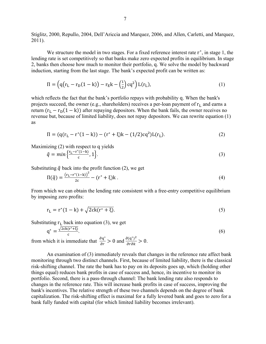Stiglitz, 2000, Repullo, 2004, Dell'Ariccia and Marquez, 2006, and Allen, Carletti, and Marquez, 2011).

We structure the model in two stages. For a fixed reference interest rate  $r^*$ , in stage 1, the lending rate is set competitively so that banks make zero expected profits in equilibrium. In stage 2, banks then choose how much to monitor their portfolio, q. We solve the model by backward induction, starting from the last stage. The bank's expected profit can be written as:

$$
\Pi = \left( q(r_L - r_D(1 - k)) - r_E k - \left(\frac{1}{2}\right) c q^2 \right) L(r_L),\tag{1}
$$

which reflects the fact that the bank's portfolio repays with probability q. When the bank's projects succeed, the owner (e.g., shareholders) receives a per-loan payment of  $r<sub>L</sub>$  and earns a return  $(r_L - r_D(1 - k))$  after repaying depositors. When the bank fails, the owner receives no revenue but, because of limited liability, does not repay depositors. We can rewrite equation (1) as

$$
\Pi = (q(r_L - r^*(1 - k)) - (r^* + \xi)k - (1/2)cq^2)L(r_L).
$$
 (2)

Maximizing (2) with respect to q yields

$$
\hat{q} = \min\left\{\frac{r_L - r^*(1 - k)}{c}, 1\right\}.
$$
\n(3)

Substituting  $\hat{q}$  back into the profit function (2), we get

$$
\Pi(\hat{q}) = \frac{(r_L - r^*(1 - k))^2}{2c} - (r^* + \xi)k \tag{4}
$$

From which we can obtain the lending rate consistent with a free-entry competitive equilibrium by imposing zero profits:

$$
r_{L} = r^{*}(1 - k) + \sqrt{2ck(r^{*} + \xi)}.
$$
\n(5)

Substituting  $r<sub>L</sub>$  back into equation (3), we get

$$
q^* = \frac{\sqrt{2ck(r^* + \xi)}}{c}.\tag{6}
$$

from which it is immediate that  $\frac{\partial q^*}{\partial r} > 0$  and  $\frac{\partial (q^*)^2}{\partial r \partial k} > 0$ .

An examination of (3) immediately reveals that changes in the reference rate affect bank monitoring through two distinct channels. First, because of limited liability, there is the classical risk-shifting channel. The rate the bank has to pay on its deposits goes up, which (holding other things equal) reduces bank profits in case of success and, hence, its incentive to monitor its portfolio. Second, there is a pass-through channel: The bank lending rate also responds to changes in the reference rate. This will increase bank profits in case of success, improving the bank's incentives. The relative strength of these two channels depends on the degree of bank capitalization. The risk-shifting effect is maximal for a fully levered bank and goes to zero for a bank fully funded with capital (for which limited liability becomes irrelevant).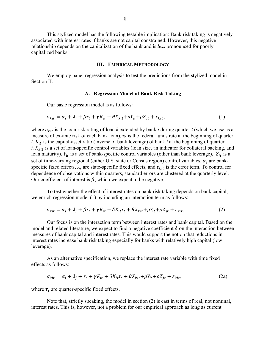This stylized model has the following testable implication: Bank risk taking is negatively associated with interest rates if banks are not capital constrained. However, this negative relationship depends on the capitalization of the bank and is *less* pronounced for poorly capitalized banks.

#### **III. EMPIRICAL METHODOLOGY**

We employ panel regression analysis to test the predictions from the stylized model in Section II.

## **A. Regression Model of Bank Risk Taking**

Our basic regression model is as follows:

$$
\sigma_{kit} = \alpha_i + \lambda_j + \beta r_t + \gamma K_{it} + \theta X_{kit} + \mu Y_{it} + \rho Z_{jt} + \varepsilon_{kit},
$$
\n(1)

where  $\sigma_{kit}$  is the loan risk rating of loan *k* extended by bank *i* during quarter *t* (which we use as a measure of ex-ante risk of each bank loan),  $r_t$  is the federal funds rate at the beginning of quarter  $t$ ,  $K_{it}$  is the capital-asset ratio (inverse of bank leverage) of bank *i* at the beginning of quarter  $t$ ,  $X_{kit}$  is a set of loan-specific control variables (loan size, an indicator for collateral backing, and loan maturity),  $Y_{it}$  is a set of bank-specific control variables (other than bank leverage),  $Z_{jt}$  is a set of time-varying regional (either U.S. state or Census region) control variables,  $\alpha_i$  are bankspecific fixed effects,  $\lambda_i$  are state-specific fixed effects, and  $\varepsilon_{kit}$  is the error term. To control for dependence of observations within quarters, standard errors are clustered at the quarterly level. Our coefficient of interest is  $\beta$ , which we expect to be negative.

To test whether the effect of interest rates on bank risk taking depends on bank capital, we enrich regression model (1) by including an interaction term as follows:

$$
\sigma_{kit} = \alpha_i + \lambda_j + \beta r_t + \gamma K_{it} + \delta K_{it} r_t + \theta X_{kit} + \mu Y_{it} + \rho Z_{jt} + \varepsilon_{kit}.
$$
\n(2)

Our focus is on the interaction term between interest rates and bank capital. Based on the model and related literature, we expect to find a negative coefficient  $\delta$  on the interaction between measures of bank capital and interest rates. This would support the notion that reductions in interest rates increase bank risk taking especially for banks with relatively high capital (low leverage).

As an alternative specification, we replace the interest rate variable with time fixed effects as follows:

$$
\sigma_{kit} = \alpha_i + \lambda_j + \tau_t + \gamma K_{it} + \delta K_{it}\tau_t + \theta X_{kit} + \mu Y_{it} + \rho Z_{jt} + \varepsilon_{kit}, \tag{2a}
$$

where  $\tau_t$  are quarter-specific fixed effects.

 Note that, strictly speaking, the model in section (2) is cast in terms of real, not nominal, interest rates. This is, however, not a problem for our empirical approach as long as current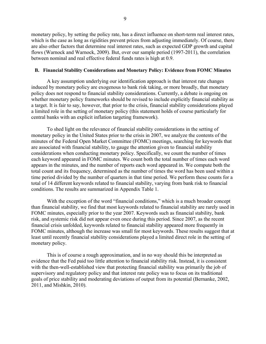monetary policy, by setting the policy rate, has a direct influence on short-term real interest rates, which is the case as long as rigidities prevent prices from adjusting immediately. Of course, there are also other factors that determine real interest rates, such as expected GDP growth and capital flows (Warnock and Warnock, 2009). But, over our sample period (1997-2011), the correlation between nominal and real effective federal funds rates is high at 0.9.

## **B. Financial Stability Considerations and Monetary Policy: Evidence from FOMC Minutes**

A key assumption underlying our identification approach is that interest rate changes induced by monetary policy are exogenous to bank risk taking, or more broadly, that monetary policy does not respond to financial stability considerations. Currently, a debate is ongoing on whether monetary policy frameworks should be revised to include explicitly financial stability as a target. It is fair to say, however, that prior to the crisis, financial stability considerations played a limited role in the setting of monetary policy (this statement holds of course particularly for central banks with an explicit inflation targeting framework).

To shed light on the relevance of financial stability considerations in the setting of monetary policy in the United States prior to the crisis in 2007, we analyze the contents of the minutes of the Federal Open Market Committee (FOMC) meetings, searching for keywords that are associated with financial stability, to gauge the attention given to financial stability considerations when conducting monetary policy. Specifically, we count the number of times each keyword appeared in FOMC minutes. We count both the total number of times each word appears in the minutes, and the number of reports each word appeared in. We compute both the total count and its frequency, determined as the number of times the word has been used within a time period divided by the number of quarters in that time period. We perform these counts for a total of 14 different keywords related to financial stability, varying from bank risk to financial conditions. The results are summarized in Appendix Table 1.

With the exception of the word "financial conditions," which is a much broader concept than financial stability, we find that most keywords related to financial stability are rarely used in FOMC minutes, especially prior to the year 2007. Keywords such as financial stability, bank risk, and systemic risk did not appear even once during this period. Since 2007, as the recent financial crisis unfolded, keywords related to financial stability appeared more frequently in FOMC minutes, although the increase was small for most keywords. These results suggest that at least until recently financial stability considerations played a limited direct role in the setting of monetary policy.

This is of course a rough approximation, and in no way should this be interpreted as evidence that the Fed paid too little attention to financial stability risk. Instead, it is consistent with the then-well-established view that protecting financial stability was primarily the job of supervisory and regulatory policy and that interest rate policy was to focus on its traditional goals of price stability and moderating deviations of output from its potential (Bernanke, 2002, 2011, and Mishkin, 2010).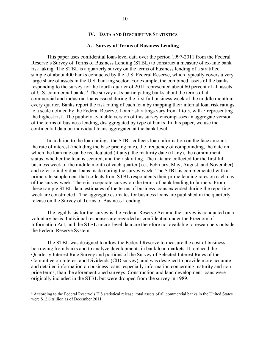#### **IV. DATA AND DESCRIPTIVE STATISTICS**

## **A. Survey of Terms of Business Lending**

This paper uses confidential loan-level data over the period 1997-2011 from the Federal Reserve's Survey of Terms of Business Lending (STBL) to construct a measure of ex-ante bank risk taking. The STBL is a quarterly survey on the terms of business lending of a stratified sample of about 400 banks conducted by the U.S. Federal Reserve, which typically covers a very large share of assets in the U.S. banking sector. For example, the combined assets of the banks responding to the survey for the fourth quarter of 2011 represented about 60 percent of all assets of U.S. commercial banks.<sup>8</sup> The survey asks participating banks about the terms of all commercial and industrial loans issued during the first full business week of the middle month in every quarter. Banks report the risk rating of each loan by mapping their internal loan risk ratings to a scale defined by the Federal Reserve. Loan risk ratings vary from 1 to 5, with 5 representing the highest risk. The publicly available version of this survey encompasses an aggregate version of the terms of business lending, disaggregated by type of banks. In this paper, we use the confidential data on individual loans aggregated at the bank level.

In addition to the loan ratings, the STBL collects loan information on the face amount, the rate of interest (including the base pricing rate), the frequency of compounding, the date on which the loan rate can be recalculated (if any), the maturity date (if any), the commitment status, whether the loan is secured, and the risk rating. The data are collected for the first full business week of the middle month of each quarter (i.e., February, May, August, and November) and refer to individual loans made during the survey week. The STBL is complemented with a prime rate supplement that collects from STBL respondents their prime lending rates on each day of the survey week. There is a separate survey on the terms of bank lending to farmers. From these sample STBL data, estimates of the terms of business loans extended during the reporting week are constructed. The aggregate estimates for business loans are published in the quarterly release on the Survey of Terms of Business Lending.

The legal basis for the survey is the Federal Reserve Act and the survey is conducted on a voluntary basis. Individual responses are regarded as confidential under the Freedom of Information Act, and the STBL micro-level data are therefore not available to researchers outside the Federal Reserve System.

The STBL was designed to allow the Federal Reserve to measure the cost of business borrowing from banks and to analyze developments in bank loan markets. It replaced the Quarterly Interest Rate Survey and portions of the Survey of Selected Interest Rates of the Committee on Interest and Dividends (CID survey), and was designed to provide more accurate and detailed information on business loans, especially information concerning maturity and nonprice terms, than the aforementioned surveys. Construction and land development loans were originally included in the STBL but were dropped from the survey in 1989.

<sup>&</sup>lt;sup>8</sup> According to the Federal Reserve's H.8 statistical release, total assets of all commercial banks in the United States were \$12.6 trillion as of December 2011.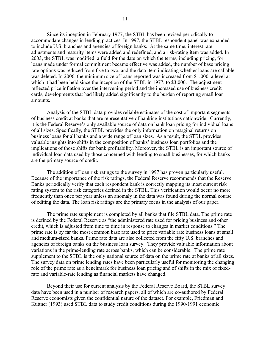Since its inception in February 1977, the STBL has been revised periodically to accommodate changes in lending practices. In 1997, the STBL respondent panel was expanded to include U.S. branches and agencies of foreign banks. At the same time, interest rate adjustments and maturity items were added and redefined, and a risk-rating item was added. In 2003, the STBL was modified: a field for the date on which the terms, including pricing, for loans made under formal commitment became effective was added, the number of base pricing rate options was reduced from five to two, and the data item indicating whether loans are callable was deleted. In 2006, the minimum size of loans reported was increased from \$1,000, a level at which it had been held since the inception of the STBL in 1977, to \$3,000. The adjustment reflected price inflation over the intervening period and the increased use of business credit cards, developments that had likely added significantly to the burden of reporting small loan amounts.

Analysis of the STBL data provides reliable estimates of the cost of important segments of business credit at banks that are representative of banking institutions nationwide. Currently, it is the Federal Reserve's only available source of data on bank loan pricing for individual loans of all sizes. Specifically, the STBL provides the only information on marginal returns on business loans for all banks and a wide range of loan sizes. As a result, the STBL provides valuable insights into shifts in the composition of banks' business loan portfolios and the implications of those shifts for bank profitability. Moreover, the STBL is an important source of individual loan data used by those concerned with lending to small businesses, for which banks are the primary source of credit.

The addition of loan risk ratings to the survey in 1997 has proven particularly useful. Because of the importance of the risk ratings, the Federal Reserve recommends that the Reserve Banks periodically verify that each respondent bank is correctly mapping its most current risk rating system to the risk categories defined in the STBL. This verification would occur no more frequently than once per year unless an anomaly in the data was found during the normal course of editing the data. The loan risk ratings are the primary focus in the analysis of our paper.

The prime rate supplement is completed by all banks that file STBL data. The prime rate is defined by the Federal Reserve as "the administered rate used for pricing business and other credit, which is adjusted from time to time in response to changes in market conditions." The prime rate is by far the most common base rate used to price variable rate business loans at small and medium-sized banks. Prime rate data are also collected from the fifty U.S. branches and agencies of foreign banks on the business loan survey. They provide valuable information about variations in the prime-lending rate across banks, which can be considerable. The prime rate supplement to the STBL is the only national source of data on the prime rate at banks of all sizes. The survey data on prime lending rates have been particularly useful for monitoring the changing role of the prime rate as a benchmark for business loan pricing and of shifts in the mix of fixedrate and variable-rate lending as financial markets have changed.

Beyond their use for current analysis by the Federal Reserve Board, the STBL survey data have been used in a number of research papers, all of which are co-authored by Federal Reserve economists given the confidential nature of the dataset. For example, Friedman and Kuttner (1993) used STBL data to study credit conditions during the 1990-1991 economic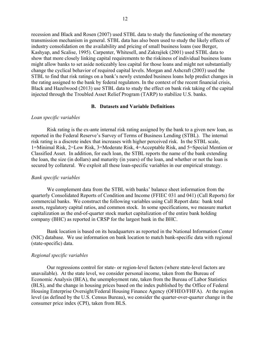recession and Black and Rosen (2007) used STBL data to study the functioning of the monetary transmission mechanism in general. STBL data has also been used to study the likely effects of industry consolidation on the availability and pricing of small business loans (see Berger, Kashyap, and Scalise, 1995). Carpenter, Whitesell, and Zakrajšek (2001) used STBL data to show that more closely linking capital requirements to the riskiness of individual business loans might allow banks to set aside noticeably less capital for those loans and might not substantially change the cyclical behavior of required capital levels. Morgan and Ashcraft (2003) used the STBL to find that risk ratings on a bank's newly extended business loans help predict changes in the rating assigned to the bank by federal regulators. In the context of the recent financial crisis, Black and Hazelwood (2013) use STBL data to study the effect on bank risk taking of the capital

#### **B. Datasets and Variable Definitions**

injected through the Troubled Asset Relief Program (TARP) to stabilize U.S. banks.

#### *Loan specific variables*

Risk rating is the ex-ante internal risk rating assigned by the bank to a given new loan, as reported in the Federal Reserve's Survey of Terms of Business Lending (STBL). The internal risk rating is a discrete index that increases with higher perceived risk. In the STBL scale, 1=Minimal Risk, 2=Low Risk, 3=Moderate Risk, 4=Acceptable Risk, and 5=Special Mention or Classified Asset. In addition, for each loan, the STBL reports the name of the bank extending the loan, the size (in dollars) and maturity (in years) of the loan, and whether or not the loan is secured by collateral. We exploit all these loan-specific variables in our empirical strategy.

#### *Bank specific variables*

We complement data from the STBL with banks' balance sheet information from the quarterly Consolidated Reports of Condition and Income (FFIEC 031 and 041) (Call Reports) for commercial banks. We construct the following variables using Call Report data: bank total assets, regulatory capital ratios, and common stock. In some specifications, we measure market capitalization as the end-of-quarter stock market capitalization of the entire bank holding company (BHC) as reported in CRSP for the largest bank in the BHC.

Bank location is based on its headquarters as reported in the National Information Center (NIC) database. We use information on bank location to match bank-specific data with regional (state-specific) data.

#### *Regional specific variables*

Our regressions control for state- or region-level factors (where state-level factors are unavailable). At the state level, we consider personal income, taken from the Bureau of Economic Analysis (BEA), the unemployment rate, taken from the Bureau of Labor Statistics (BLS), and the change in housing prices based on the index published by the Office of Federal Housing Enterprise Oversight/Federal Housing Finance Agency (OFHEO/FHFA). At the region level (as defined by the U.S. Census Bureau), we consider the quarter-over-quarter change in the consumer price index (CPI), taken from BLS.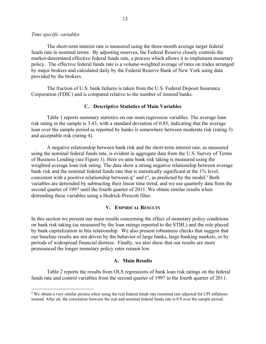#### *Time specific variables*

1

The short-term interest rate is measured using the three-month average target federal funds rate in nominal terms. By adjusting reserves, the Federal Reserve closely controls the market-determined effective federal funds rate, a process which allows it to implement monetary policy. The effective federal funds rate is a volume-weighted average of rates on trades arranged by major brokers and calculated daily by the Federal Reserve Bank of New York using data provided by the brokers.

The fraction of U.S. bank failures is taken from the U.S. Federal Deposit Insurance Corporation (FDIC) and is computed relative to the number of insured banks.

#### **C. Descriptive Statistics of Main Variables**

Table 1 reports summary statistics on our main regression variables. The average loan risk rating in the sample is 3.43, with a standard deviation of 0.85, indicating that the average loan over the sample period as reported by banks is somewhere between moderate risk (rating 3) and acceptable risk (rating 4).

A negative relationship between bank risk and the short-term interest rate, as measured using the nominal federal funds rate, is evident in aggregate data from the U.S. Survey of Terms of Business Lending (see Figure 1). Here ex-ante bank risk taking is measured using the weighted average loan risk rating. The data show a strong negative relationship between average bank risk and the nominal federal funds rate that is statistically significant at the 1% level, consistent with a positive relationship between  $q^*$  and  $r^*$ , as predicted by the model.<sup>9</sup> Both variables are detrended by subtracting their linear time trend, and we use quarterly data from the second quarter of 1997 until the fourth quarter of 2011. We obtain similar results when detrending these variables using a Hodrick-Prescott filter.

## **V. EMPIRICAL RESULTS**

In this section we present our main results concerning the effect of monetary policy conditions on bank risk taking (as measured by the loan ratings reported to the STBL) and the role played by bank capitalization in this relationship. We also present robustness checks that suggest that our baseline results are not driven by the behavior of large banks, large banking markets, or by periods of widespread financial distress. Finally, we also show that our results are more pronounced the longer monetary policy rates remain low.

#### **A. Main Results**

Table 2 reports the results from OLS regressions of bank loan risk ratings on the federal funds rate and control variables from the second quarter of 1997 to the fourth quarter of 2011.

 $9$  We obtain a very similar picture when using the real federal funds rate (nominal rate adjusted for CPI inflation) instead. After all, the correlation between the real and nominal federal funds rate is 0.9 over the sample period.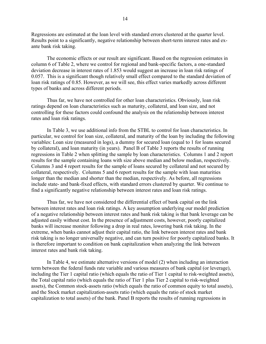Regressions are estimated at the loan level with standard errors clustered at the quarter level. Results point to a significantly, negative relationship between short-term interest rates and exante bank risk taking.

The economic effects or our result are significant. Based on the regression estimates in column 6 of Table 2, where we control for regional and bank-specific factors, a one-standard deviation decrease in interest rates of 1.853 would suggest an increase in loan risk ratings of 0.057. This is a significant though relatively small effect compared to the standard deviation of loan risk ratings of 0.85. However, as we will see, this effect varies markedly across different types of banks and across different periods.

Thus far, we have not controlled for other loan characteristics. Obviously, loan risk ratings depend on loan characteristics such as maturity, collateral, and loan size, and not controlling for these factors could confound the analysis on the relationship between interest rates and loan risk ratings.

In Table 3, we use additional info from the STBL to control for loan characteristics. In particular, we control for loan size, collateral, and maturity of the loan by including the following variables: Loan size (measured in logs), a dummy for secured loan (equal to 1 for loans secured by collateral), and loan maturity (in years). Panel B of Table 3 reports the results of running regressions in Table 2 when splitting the sample by loan characteristics. Columns 1 and 2 report results for the sample containing loans with size above median and below median, respectively. Columns 3 and 4 report results for the sample of loans secured by collateral and not secured by collateral, respectively. Columns 5 and 6 report results for the sample with loan maturities longer than the median and shorter than the median, respectively. As before, all regressions include state- and bank-fixed effects, with standard errors clustered by quarter. We continue to find a significantly negative relationship between interest rates and loan risk ratings.

Thus far, we have not considered the differential effect of bank capital on the link between interest rates and loan risk ratings. A key assumption underlying our model prediction of a negative relationship between interest rates and bank risk taking is that bank leverage can be adjusted easily without cost. In the presence of adjustment costs, however, poorly capitalized banks will increase monitor following a drop in real rates, lowering bank risk taking. In the extreme, when banks cannot adjust their capital ratio, the link between interest rates and bank risk taking is no longer universally negative, and can turn positive for poorly capitalized banks. It is therefore important to condition on bank capitalization when analyzing the link between interest rates and bank risk taking.

In Table 4, we estimate alternative versions of model (2) when including an interaction term between the federal funds rate variable and various measures of bank capital (or leverage), including the Tier 1 capital ratio (which equals the ratio of Tier 1 capital to risk-weighted assets), the Total capital ratio (which equals the ratio of Tier 1 plus Tier 2 capital to risk-weighted assets), the Common stock-assets ratio (which equals the ratio of common equity to total assets), and the Stock market capitalization-assets ratio (which equals the ratio of stock market capitalization to total assets) of the bank. Panel B reports the results of running regressions in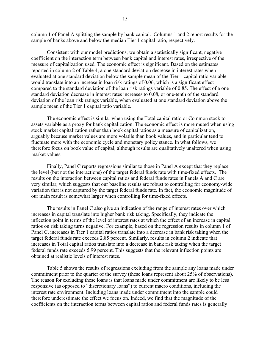column 1 of Panel A splitting the sample by bank capital. Columns 1 and 2 report results for the sample of banks above and below the median Tier 1 capital ratio, respectively.

Consistent with our model predictions, we obtain a statistically significant, negative coefficient on the interaction term between bank capital and interest rates, irrespective of the measure of capitalization used. The economic effect is significant. Based on the estimates reported in column 2 of Table 4, a one standard deviation decrease in interest rates when evaluated at one standard deviation below the sample mean of the Tier 1 capital ratio variable would translate into an increase in loan risk ratings of 0.06, which is a significant effect compared to the standard deviation of the loan risk ratings variable of 0.85. The effect of a one standard deviation decrease in interest rates increases to 0.08, or one-tenth of the standard deviation of the loan risk ratings variable, when evaluated at one standard deviation above the sample mean of the Tier 1 capital ratio variable.

The economic effect is similar when using the Total capital ratio or Common stock to assets variable as a proxy for bank capitalization. The economic effect is more muted when using stock market capitalization rather than book capital ratios as a measure of capitalization, arguably because market values are more volatile than book values, and in particular tend to fluctuate more with the economic cycle and monetary policy stance. In what follows, we therefore focus on book value of capital, although results are qualitatively unaltered when using market values.

Finally, Panel C reports regressions similar to those in Panel A except that they replace the level (but not the interactions) of the target federal funds rate with time-fixed effects. The results on the interaction between capital ratios and federal funds rates in Panels A and C are very similar, which suggests that our baseline results are robust to controlling for economy-wide variation that is not captured by the target federal funds rate. In fact, the economic magnitude of our main result is somewhat larger when controlling for time-fixed effects.

The results in Panel C also give an indication of the range of interest rates over which increases in capital translate into higher bank risk taking. Specifically, they indicate the inflection point in terms of the level of interest rates at which the effect of an increase in capital ratios on risk taking turns negative. For example, based on the regression results in column 1 of Panel C, increases in Tier 1 capital ratios translate into a decrease in bank risk taking when the target federal funds rate exceeds 2.85 percent. Similarly, results in column 2 indicate that increases in Total capital ratios translate into a decrease in bank risk taking when the target federal funds rate exceeds 5.99 percent. This suggests that the relevant inflection points are obtained at realistic levels of interest rates.

Table 5 shows the results of regressions excluding from the sample any loans made under commitment prior to the quarter of the survey (these loans represent about 25% of observations). The reason for excluding these loans is that loans made under commitment are likely to be less responsive (as opposed to "discretionary loans") to current macro conditions, including the interest rate environment. Including loans made under commitment into the sample could therefore underestimate the effect we focus on. Indeed, we find that the magnitude of the coefficients on the interaction terms between capital ratios and federal funds rates is generally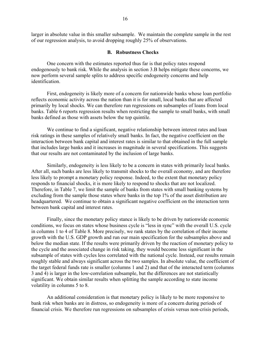larger in absolute value in this smaller subsample. We maintain the complete sample in the rest of our regression analysis, to avoid dropping roughly 25% of observations.

#### **B. Robustness Checks**

One concern with the estimates reported thus far is that policy rates respond endogenously to bank risk. While the analysis in section 3.B helps mitigate these concerns, we now perform several sample splits to address specific endogeneity concerns and help identification.

First, endogeneity is likely more of a concern for nationwide banks whose loan portfolio reflects economic activity across the nation than it is for small, local banks that are affected primarily by local shocks. We can therefore run regressions on subsamples of loans from local banks. Table 6 reports regression results when restricting the sample to small banks, with small banks defined as those with assets below the top quintile.

We continue to find a significant, negative relationship between interest rates and loan risk ratings in these samples of relatively small banks. In fact, the negative coefficient on the interaction between bank capital and interest rates is similar to that obtained in the full sample that includes large banks and it increases in magnitude in several specifications. This suggests that our results are not contaminated by the inclusion of large banks.

Similarly, endogeneity is less likely to be a concern in states with primarily local banks. After all, such banks are less likely to transmit shocks to the overall economy, and are therefore less likely to prompt a monetary policy response. Indeed, to the extent that monetary policy responds to financial shocks, it is more likely to respond to shocks that are not localized. Therefore, in Table 7, we limit the sample of banks from states with small banking systems by excluding from the sample those states where banks in the top 1% of the asset distribution are headquartered. We continue to obtain a significant negative coefficient on the interaction term between bank capital and interest rates.

Finally, since the monetary policy stance is likely to be driven by nationwide economic conditions, we focus on states whose business cycle is "less in sync" with the overall U.S. cycle in columns 1 to 4 of Table 8. More precisely, we rank states by the correlation of their income growth with the U.S. GDP growth and run our main specification for the subsamples above and below the median state. If the results were primarily driven by the reaction of monetary policy to the cycle and the associated change in risk taking, they would become less significant in the subsample of states with cycles less correlated with the national cycle. Instead, our results remain roughly stable and always significant across the two samples. In absolute value, the coefficient of the target federal funds rate is smaller (columns 1 and 2) and that of the interacted term (columns 3 and 4) is larger in the low-correlation subsample, but the differences are not statistically significant. We obtain similar results when splitting the sample according to state income volatility in columns 5 to 8.

An additional consideration is that monetary policy is likely to be more responsive to bank risk when banks are in distress, so endogeneity is more of a concern during periods of financial crisis. We therefore run regressions on subsamples of crisis versus non-crisis periods,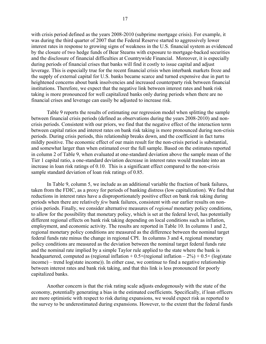with crisis period defined as the years 2008-2010 (subprime mortgage crisis). For example, it was during the third quarter of 2007 that the Federal Reserve started to aggressively lower interest rates in response to growing signs of weakness in the U.S. financial system as evidenced by the closure of two hedge funds of Bear Stearns with exposure to mortgage-backed securities and the disclosure of financial difficulties at Countrywide Financial. Moreover, it is especially during periods of financial crises that banks will find it costly to issue capital and adjust leverage. This is especially true for the recent financial crisis when interbank markets froze and the supply of external capital for U.S. banks became scarce and turned expensive due in part to heightened concerns about bank insolvencies and increased counterparty risk between financial institutions. Therefore, we expect that the negative link between interest rates and bank risk taking is more pronounced for well capitalized banks only during periods when there are no financial crises and leverage can easily be adjusted to increase risk.

Table 9 reports the results of estimating our regression model when splitting the sample between financial crisis periods (defined as observations during the years 2008-2010) and noncrisis periods. Consistent with our priors, we find that the negative effect of the interaction term between capital ratios and interest rates on bank risk taking is more pronounced during non-crisis periods. During crisis periods, this relationship breaks down, and the coefficient in fact turns mildly positive. The economic effect of our main result for the non-crisis period is substantial, and somewhat larger than when estimated over the full sample. Based on the estimates reported in column 2 of Table 9, when evaluated at one-standard deviation above the sample mean of the Tier 1 capital ratio, a one-standard deviation decrease in interest rates would translate into an increase in loan risk ratings of 0.10. This is a significant effect compared to the non-crisis sample standard deviation of loan risk ratings of 0.85.

In Table 9, column 5, we include as an additional variable the fraction of bank failures, taken from the FDIC, as a proxy for periods of banking distress (low capitalization). We find that reductions in interest rates have a disproportionately positive effect on bank risk taking during periods when there are relatively *few* bank failures, consistent with our earlier results on noncrisis periods. Finally, we consider alternative measures of *regional* monetary policy conditions, to allow for the possibility that monetary policy, which is set at the federal level, has potentially different regional effects on bank risk taking depending on local conditions such as inflation, employment, and economic activity. The results are reported in Table 10. In columns 1 and 2, regional monetary policy conditions are measured as the difference between the nominal target federal funds rate minus the change in regional CPI. In columns 3 and 4, regional monetary policy conditions are measured as the deviation between the nominal target federal funds rate and the nominal rate implied by a simple Taylor rule applied to the state where the bank is headquartered, computed as (regional inflation  $+ 0.5 \times$  (regional inflation  $- 2\% + 0.5 \times$  (log(state income) – trend log(state income)). In either case, we continue to find a negative relationship between interest rates and bank risk taking, and that this link is less pronounced for poorly capitalized banks.

Another concern is that the risk rating scale adjusts endogenously with the state of the economy, potentially generating a bias in the estimated coefficients. Specifically, if loan officers are more optimistic with respect to risk during expansions, we would expect risk as reported to the survey to be underestimated during expansions. However, to the extent that the federal funds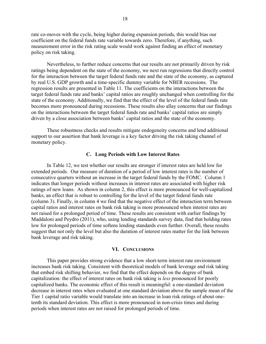rate co-moves with the cycle, being higher during expansion periods, this would bias our coefficient on the federal funds rate variable towards zero. Therefore, if anything, such measurement error in the risk rating scale would work against finding an effect of monetary policy on risk taking.

Nevertheless, to further reduce concerns that our results are not primarily driven by risk ratings being dependent on the state of the economy, we next run regressions that directly control for the interaction between the target federal funds rate and the state of the economy, as captured by real U.S. GDP growth and a time-specific dummy variable for NBER recessions. The regression results are presented in Table 11. The coefficients on the interactions between the target federal funds rate and banks' capital ratios are roughly unchanged when controlling for the state of the economy. Additionally, we find that the effect of the level of the federal funds rate becomes more pronounced during recessions. These results also allay concerns that our findings on the interactions between the target federal funds rate and banks' capital ratios are simply driven by a close association between banks' capital ratios and the state of the economy.

These robustness checks and results mitigate endogeneity concerns and lend additional support to our assertion that bank leverage is a key factor driving the risk taking channel of monetary policy.

#### **C. Long Periods with Low Interest Rates**

In Table 12, we test whether our results are stronger if interest rates are held low for extended periods. Our measure of duration of a period of low interest rates is the number of consecutive quarters without an increase in the target federal funds by the FOMC. Column 1 indicates that longer periods without increases in interest rates are associated with higher risk ratings of new loans. As shown in column 2, this effect is more pronounced for well-capitalized banks, an effect that is robust to controlling for the level of the target federal funds rate (column 3). Finally, in column 4 we find that the negative effect of the interaction term between capital ratios and interest rates on bank risk taking is more pronounced when interest rates are not raised for a prolonged period of time. These results are consistent with earlier findings by Maddaloni and Peydro (2011), who, using lending standards survey data, find that holding rates low for prolonged periods of time softens lending standards even further. Overall, these results suggest that not only the level but also the duration of interest rates matter for the link between bank leverage and risk taking.

#### **VI. CONCLUSIONS**

This paper provides strong evidence that a low short-term interest rate environment increases bank risk taking. Consistent with theoretical models of bank leverage and risk taking that embed risk shifting behavior, we find that the effect depends on the degree of bank capitalization: the effect of interest rates on bank risk taking is *less* pronounced for poorly capitalized banks. The economic effect of this result is meaningful: a one-standard deviation decrease in interest rates when evaluated at one standard deviation above the sample mean of the Tier 1 capital ratio variable would translate into an increase in loan risk ratings of about onetenth its standard deviation. This effect is more pronounced in non-crisis times and during periods when interest rates are not raised for prolonged periods of time.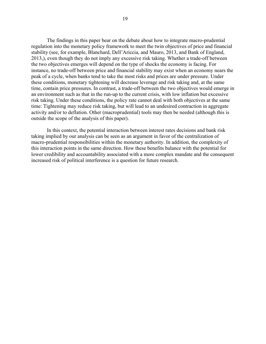The findings in this paper bear on the debate about how to integrate macro-prudential regulation into the monetary policy framework to meet the twin objectives of price and financial stability (see, for example, Blanchard, Dell'Ariccia, and Mauro, 2013, and Bank of England, 2013,), even though they do not imply any excessive risk taking. Whether a trade-off between the two objectives emerges will depend on the type of shocks the economy is facing. For instance, no trade-off between price and financial stability may exist when an economy nears the peak of a cycle, when banks tend to take the most risks and prices are under pressure. Under these conditions, monetary tightening will decrease leverage and risk taking and, at the same time, contain price pressures. In contrast, a trade-off between the two objectives would emerge in an environment such as that in the run-up to the current crisis, with low inflation but excessive risk taking. Under these conditions, the policy rate cannot deal with both objectives at the same time: Tightening may reduce risk taking, but will lead to an undesired contraction in aggregate activity and/or to deflation. Other (macroprudential) tools may then be needed (although this is outside the scope of the analysis of this paper).

In this context, the potential interaction between interest rates decisions and bank risk taking implied by our analysis can be seen as an argument in favor of the centralization of macro-prudential responsibilities within the monetary authority. In addition, the complexity of this interaction points in the same direction. How these benefits balance with the potential for lower credibility and accountability associated with a more complex mandate and the consequent increased risk of political interference is a question for future research.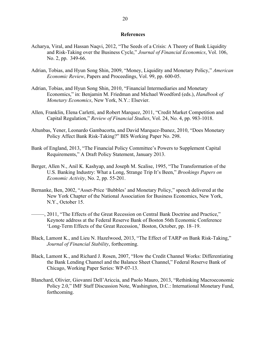#### **References**

- Acharya, Viral, and Hassan Naqvi, 2012, "The Seeds of a Crisis: A Theory of Bank Liquidity and Risk-Taking over the Business Cycle," *Journal of Financial Economics*, Vol. 106, No. 2, pp. 349-66.
- Adrian, Tobias, and Hyun Song Shin, 2009, "Money, Liquidity and Monetary Policy," *American Economic Review*, Papers and Proceedings, Vol. 99, pp. 600-05.
- Adrian, Tobias, and Hyun Song Shin, 2010, "Financial Intermediaries and Monetary Economics," in: Benjamin M. Friedman and Michael Woodford (eds.), *Handbook of Monetary Economics*, New York, N.Y.: Elsevier.
- Allen, Franklin, Elena Carletti, and Robert Marquez, 2011, "Credit Market Competition and Capital Regulation," *Review of Financial Studies*, Vol. 24, No. 4, pp. 983-1018.
- Altunbas, Yener, Leonardo Gambacorta, and David Marquez-Ibanez, 2010, "Does Monetary Policy Affect Bank Risk-Taking?" BIS Working Paper No. 298.
- Bank of England, 2013, "The Financial Policy Committee's Powers to Supplement Capital Requirements," A Draft Policy Statement, January 2013.
- Berger, Allen N., Anil K. Kashyap, and Joseph M. Scalise, 1995, "The Transformation of the U.S. Banking Industry: What a Long, Strange Trip It's Been," *Brookings Papers on Economic Activity*, No. 2, pp. 55-201.
- Bernanke, Ben, 2002, "Asset-Price 'Bubbles' and Monetary Policy," speech delivered at the New York Chapter of the National Association for Business Economics, New York, N.Y., October 15.
- –––––, 2011, "The Effects of the Great Recession on Central Bank Doctrine and Practice," Keynote address at the Federal Reserve Bank of Boston 56th Economic Conference 'Long-Term Effects of the Great Recession,' Boston, October, pp. 18–19.
- Black, Lamont K., and Lieu N. Hazelwood, 2013, "The Effect of TARP on Bank Risk-Taking," *Journal of Financial Stability*, forthcoming.
- Black, Lamont K., and Richard J. Rosen, 2007, "How the Credit Channel Works: Differentiating the Bank Lending Channel and the Balance Sheet Channel," Federal Reserve Bank of Chicago, Working Paper Series: WP-07-13.
- Blanchard, Olivier, Giovanni Dell'Ariccia, and Paolo Mauro, 2013, "Rethinking Macroeconomic Policy 2.0," IMF Staff Discussion Note, Washington, D.C.: International Monetary Fund, forthcoming.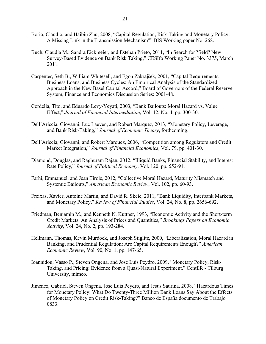- Borio, Claudio, and Haibin Zhu, 2008, "Capital Regulation, Risk-Taking and Monetary Policy: A Missing Link in the Transmission Mechanism?" BIS Working paper No. 268.
- Buch, Claudia M., Sandra Eickmeier, and Esteban Prieto, 2011, "In Search for Yield? New Survey-Based Evidence on Bank Risk Taking," CESIfo Working Paper No. 3375, March 2011.
- Carpenter, Seth B., William Whitesell, and Egon Zakrajšek, 2001, "Capital Requirements, Business Loans, and Business Cycles: An Empirical Analysis of the Standardized Approach in the New Basel Capital Accord," Board of Governors of the Federal Reserve System, Finance and Economics Discussion Series: 2001-48.
- Cordella, Tito, and Eduardo Levy-Yeyati, 2003, "Bank Bailouts: Moral Hazard vs. Value Effect," *Journal of Financial Intermediation*, Vol. 12, No. 4, pp. 300-30.
- Dell'Ariccia, Giovanni, Luc Laeven, and Robert Marquez, 2013, "Monetary Policy, Leverage, and Bank Risk-Taking," *Journal of Economic Theory*, forthcoming.
- Dell'Ariccia, Giovanni, and Robert Marquez, 2006, "Competition among Regulators and Credit Market Integration," *Journal of Financial Economics*, Vol. 79, pp. 401-30.
- Diamond, Douglas, and Raghuram Rajan, 2012, "Illiquid Banks, Financial Stability, and Interest Rate Policy," *Journal of Political Economy*, Vol. 120, pp. 552-91.
- Farhi, Emmanuel, and Jean Tirole, 2012, "Collective Moral Hazard, Maturity Mismatch and Systemic Bailouts," *American Economic Review*, Vol. 102, pp. 60-93.
- Freixas, Xavier, Antoine Martin, and David R. Skeie, 2011, "Bank Liquidity, Interbank Markets, and Monetary Policy," *Review of Financial Studies*, Vol. 24, No. 8, pp. 2656-692.
- Friedman, Benjamin M., and Kenneth N. Kuttner, 1993, "Economic Activity and the Short-term Credit Markets: An Analysis of Prices and Quantities," *Brookings Papers on Economic Activity*, Vol. 24, No. 2, pp. 193-284.
- Hellmann, Thomas, Kevin Murdock, and Joseph Stiglitz, 2000, "Liberalization, Moral Hazard in Banking, and Prudential Regulation: Are Capital Requirements Enough?" *American Economic Review*, Vol. 90, No. 1, pp. 147-65.
- Ioannidou, Vasso P., Steven Ongena, and Jose Luis Peydro, 2009, "Monetary Policy, Risk-Taking, and Pricing: Evidence from a Quasi-Natural Experiment," CentER - Tilburg University, mimeo.
- Jimenez, Gabriel, Steven Ongena, Jose Luis Peydro, and Jesus Saurina, 2008, "Hazardous Times for Monetary Policy: What Do Twenty-Three Million Bank Loans Say About the Effects of Monetary Policy on Credit Risk-Taking?" Banco de España documento de Trabajo 0833.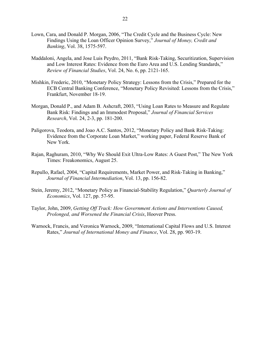- Lown, Cara, and Donald P. Morgan, 2006, "The Credit Cycle and the Business Cycle: New Findings Using the Loan Officer Opinion Survey," *Journal of Money, Credit and Banking*, Vol. 38, 1575-597.
- Maddaloni, Angela, and Jose Luis Peydro, 2011, "Bank Risk-Taking, Securitization, Supervision and Low Interest Rates: Evidence from the Euro Area and U.S. Lending Standards," *Review of Financial Studies*, Vol. 24, No. 6, pp. 2121-165.
- Mishkin, Frederic, 2010, "Monetary Policy Strategy: Lessons from the Crisis," Prepared for the ECB Central Banking Conference, "Monetary Policy Revisited: Lessons from the Crisis," Frankfurt, November 18-19.
- Morgan, Donald P., and Adam B. Ashcraft, 2003, "Using Loan Rates to Measure and Regulate Bank Risk: Findings and an Immodest Proposal," *Journal of Financial Services Research*, Vol. 24, 2-3, pp. 181-200.
- Paligorova, Teodora, and Joao A.C. Santos, 2012, "Monetary Policy and Bank Risk-Taking: Evidence from the Corporate Loan Market," working paper, Federal Reserve Bank of New York.
- Rajan, Raghuram, 2010, "Why We Should Exit Ultra-Low Rates: A Guest Post," The New York Times: Freakonomics, August 25.
- Repullo, Rafael, 2004, "Capital Requirements, Market Power, and Risk-Taking in Banking," *Journal of Financial Intermediation*, Vol. 13, pp. 156-82.
- Stein, Jeremy, 2012, "Monetary Policy as Financial-Stability Regulation," *Quarterly Journal of Economics*, Vol. 127, pp. 57-95.
- Taylor, John, 2009, *Getting Off Track: How Government Actions and Interventions Caused, Prolonged, and Worsened the Financial Crisis*, Hoover Press.
- Warnock, Francis, and Veronica Warnock, 2009, "International Capital Flows and U.S. Interest Rates," *Journal of International Money and Finance*, Vol. 28, pp. 903-19.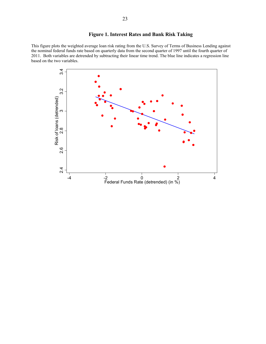## **Figure 1. Interest Rates and Bank Risk Taking**

This figure plots the weighted average loan risk rating from the U.S. Survey of Terms of Business Lending against the nominal federal funds rate based on quarterly data from the second quarter of 1997 until the fourth quarter of 2011. Both variables are detrended by subtracting their linear time trend. The blue line indicates a regression line based on the two variables.

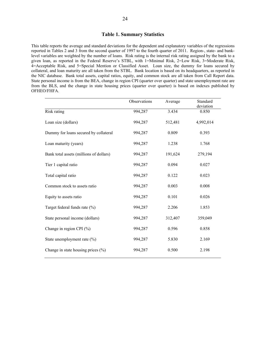#### **Table 1. Summary Statistics**

This table reports the average and standard deviations for the dependent and explanatory variables of the regressions reported in Tables 2 and 3 from the second quarter of 1997 to the fourth quarter of 2011. Region-, state- and banklevel variables are weighted by the number of loans. Risk rating is the internal risk rating assigned by the bank to a given loan, as reported in the Federal Reserve's STBL, with 1=Minimal Risk, 2=Low Risk, 3=Moderate Risk, 4=Acceptable Risk, and 5=Special Mention or Classified Asset. Loan size, the dummy for loans secured by collateral, and loan maturity are all taken from the STBL. Bank location is based on its headquarters, as reported in the NIC database. Bank total assets, capital ratios, equity, and common stock are all taken from Call Report data. State personal income is from the BEA, change in region CPI (quarter over quarter) and state unemployment rate are from the BLS, and the change in state housing prices (quarter over quarter) is based on indexes published by OFHEO/FHFA.

|                                         | Observations | Average | Standard<br>deviation |
|-----------------------------------------|--------------|---------|-----------------------|
| Risk rating                             | 994,287      | 3.434   | 0.850                 |
| Loan size (dollars)                     | 994,287      | 512,481 | 4,992,014             |
| Dummy for loans secured by collateral   | 994,287      | 0.809   | 0.393                 |
| Loan maturity (years)                   | 994,287      | 1.238   | 1.768                 |
| Bank total assets (millions of dollars) | 994,287      | 191,624 | 279,194               |
| Tier 1 capital ratio                    | 994,287      | 0.094   | 0.027                 |
| Total capital ratio                     | 994,287      | 0.122   | 0.023                 |
| Common stock to assets ratio            | 994,287      | 0.003   | 0.008                 |
| Equity to assets ratio                  | 994,287      | 0.101   | 0.026                 |
| Target federal funds rate (%)           | 994,287      | 2.206   | 1.853                 |
| State personal income (dollars)         | 994,287      | 312,407 | 359,049               |
| Change in region CPI (%)                | 994,287      | 0.596   | 0.858                 |
| State unemployment rate $(\% )$         | 994,287      | 5.830   | 2.169                 |
| Change in state housing prices (%)      | 994,287      | 0.500   | 2.198                 |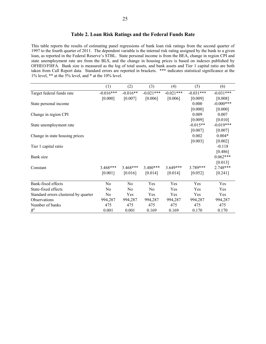## **Table 2. Loan Risk Ratings and the Federal Funds Rate**

This table reports the results of estimating panel regressions of bank loan risk ratings from the second quarter of 1997 to the fourth quarter of 2011. The dependent variable is the internal risk rating assigned by the bank to a given loan, as reported in the Federal Reserve's STBL. State personal income is from the BEA, change in region CPI and state unemployment rate are from the BLS, and the change in housing prices is based on indexes published by OFHEO/FHFA. Bank size is measured as the log of total assets, and bank assets and Tier 1 capital ratio are both taken from Call Report data. Standard errors are reported in brackets. \*\*\* indicates statistical significance at the 1% level, \*\* at the 5% level, and \* at the 10% level.

|                                      | (1)         | (2)            | (3)         | (4)         | (5)         | (6)          |
|--------------------------------------|-------------|----------------|-------------|-------------|-------------|--------------|
| Target federal funds rate            | $-0.016***$ | $-0.016**$     | $-0.021***$ | $-0.021***$ | $-0.031***$ | $-0.031***$  |
|                                      | [0.000]     | [0.007]        | [0.006]     | [0.006]     | [0.009]     | [0.008]      |
| State personal income                |             |                |             |             | 0.000       | $-0.000$ *** |
|                                      |             |                |             |             | [0.000]     | [0.000]      |
| Change in region CPI                 |             |                |             |             | 0.009       | 0.007        |
|                                      |             |                |             |             | [0.009]     | [0.010]      |
| State unemployment rate              |             |                |             |             | $-0.015**$  | $-0.019***$  |
|                                      |             |                |             |             | [0.007]     | [0.007]      |
| Change in state housing prices       |             |                |             |             | 0.002       | $0.004*$     |
|                                      |             |                |             |             | [0.003]     | [0.002]      |
| Tier 1 capital ratio                 |             |                |             |             |             | $-0.118$     |
|                                      |             |                |             |             |             | [0.486]      |
| Bank size                            |             |                |             |             |             | $0.062***$   |
|                                      |             |                |             |             |             | [0.013]      |
| Constant                             | $3.468***$  | $3.468***$     | $3.480***$  | $3.649***$  | 3.789***    | 2.748***     |
|                                      | [0.001]     | [0.016]        | [0.014]     | [0.014]     | [0.052]     | [0.241]      |
| Bank-fixed effects                   | No          | No             | Yes         | Yes         | Yes         | Yes          |
| State-fixed effects                  | No          | N <sub>0</sub> | No          | Yes         | Yes         | Yes          |
| Standard errors clustered by quarter | No          | Yes            | Yes         | Yes         | Yes         | Yes          |
| <b>Observations</b>                  | 994,287     | 994,287        | 994,287     | 994,287     | 994,287     | 994,287      |
| Number of banks                      | 475         | 475            | 475         | 475         | 475         | 475          |
| $R^2$                                | 0.001       | 0.001          | 0.169       | 0.169       | 0.170       | 0.170        |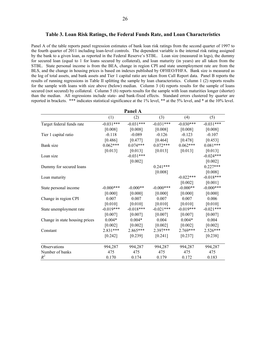#### **Table 3. Loan Risk Ratings, the Federal Funds Rate, and Loan Characteristics**

Panel A of the table reports panel regression estimates of bank loan risk ratings from the second quarter of 1997 to the fourth quarter of 2011 including loan-level controls. The dependent variable is the internal risk rating assigned by the bank to a given loan, as reported in the Federal Reserve's STBL. Loan size (measured in logs), the dummy for secured loan (equal to 1 for loans secured by collateral), and loan maturity (in years) are all taken from the STBL. State personal income is from the BEA, change in region CPI and state unemployment rate are from the BLS, and the change in housing prices is based on indexes published by OFHEO/FHFA. Bank size is measured as the log of total assets, and bank assets and Tier 1 capital ratio are taken from Call Report data. Panel B reports the results of running regressions in Table II splitting the sample by loan characteristics. Column 1 (2) reports results for the sample with loans with size above (below) median. Column 3 (4) reports results for the sample of loans secured (not secured) by collateral. Column 5 (6) reports results for the sample with loan maturities longer (shorter) than the median. All regressions include state- and bank-fixed effects. Standard errors clustered by quarter are reported in brackets. \*\*\* indicates statistical significance at the 1% level, \*\* at the 5% level, and \* at the 10% level.

|                                |              | Panel A     |             |              |              |
|--------------------------------|--------------|-------------|-------------|--------------|--------------|
|                                | (1)          | (2)         | (3)         | (4)          | (5)          |
| Target federal funds rate      | $-0.031***$  | $-0.031***$ | $-0.031***$ | $-0.030***$  | $-0.031***$  |
|                                | [0.008]      | [0.008]     | [0.008]     | [0.008]      | [0.008]      |
| Tier 1 capital ratio           | $-0.118$     | $-0.089$    | $-0.126$    | $-0.123$     | $-0.107$     |
|                                | [0.486]      | [0.477]     | [0.464]     | [0.478]      | [0.453]      |
| Bank size                      | $0.062***$   | $0.074***$  | $0.072***$  | $0.062***$   | $0.081***$   |
|                                | [0.013]      | [0.013]     | [0.013]     | [0.013]      | [0.013]      |
| Loan size                      |              | $-0.031***$ |             |              | $-0.024***$  |
|                                |              | [0.002]     |             |              | [0.002]      |
| Dummy for secured loans        |              |             | $0.241***$  |              | $0.227***$   |
|                                |              |             | $[0.008]$   |              | [0.008]      |
| Loan maturity                  |              |             |             | $-0.022$ *** | $-0.018***$  |
|                                |              |             |             | [0.002]      | [0.001]      |
| State personal income          | $-0.000$ *** | $-0.000**$  | $-0.000***$ | $-0.000**$   | $-0.000$ *** |
|                                | [0.000]      | [0.000]     | [0.000]     | [0.000]      | [0.000]      |
| Change in region CPI           | 0.007        | 0.007       | 0.007       | 0.007        | 0.006        |
|                                | [0.010]      | $[0.010]$   | $[0.010]$   | $[0.010]$    | [0.010]      |
| State unemployment rate        | $-0.019***$  | $-0.018***$ | $-0.021***$ | $-0.019***$  | $-0.021***$  |
|                                | [0.007]      | [0.007]     | [0.007]     | [0.007]      | [0.007]      |
| Change in state housing prices | $0.004*$     | $0.004*$    | 0.004       | $0.004*$     | 0.004        |
|                                | [0.002]      | [0.002]     | [0.002]     | [0.002]      | [0.002]      |
| Constant                       | $2.831***$   | 2.865***    | $2.397***$  | $2.769***$   | $2.526***$   |
|                                | [0.242]      | [0.239]     | [0.241]     | [0.237]      | [0.238]      |
| Observations                   | 994,287      | 994,287     | 994,287     | 994,287      | 994,287      |
| Number of banks                | 475          | 475         | 475         | 475          | 475          |
| $R^2$                          | 0.170        | 0.174       | 0.179       | 0.172        | 0.183        |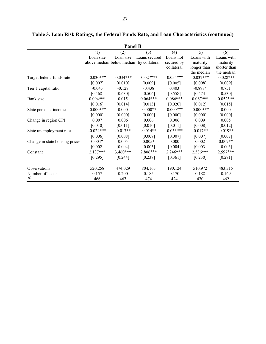| <b>Panel B</b>                 |              |             |                                         |             |             |              |  |
|--------------------------------|--------------|-------------|-----------------------------------------|-------------|-------------|--------------|--|
|                                | (1)          | (2)         | (3)                                     | (4)         | (5)         | (6)          |  |
|                                | Loan size    | Loan size   | Loans secured                           | Loans not   | Loans with  | Loans with   |  |
|                                |              |             | above median below median by collateral | secured by  | maturity    | maturity     |  |
|                                |              |             |                                         | collateral  | longer than | shorter than |  |
|                                |              |             |                                         |             | the median  | the median   |  |
| Target federal funds rate      | $-0.030***$  | $-0.034***$ | $-0.027***$                             | $-0.055***$ | $-0.032***$ | $-0.028***$  |  |
|                                | [0.007]      | [0.010]     | [0.009]                                 | [0.005]     | [0.008]     | [0.009]      |  |
| Tier 1 capital ratio           | $-0.043$     | $-0.127$    | $-0.438$                                | 0.403       | $-0.898*$   | 0.751        |  |
|                                | [0.468]      | [0.630]     | [0.506]                                 | [0.558]     | [0.474]     | [0.530]      |  |
| Bank size                      | $0.094***$   | 0.015       | $0.064***$                              | $0.086***$  | $0.067***$  | $0.052***$   |  |
|                                | [0.016]      | [0.014]     | [0.013]                                 | [0.020]     | [0.012]     | [0.015]      |  |
| State personal income          | $-0.000$ *** | 0.000       | $-0.000**$                              | $-0.000***$ | $-0.000***$ | 0.000        |  |
|                                | [0.000]      | [0.000]     | [0.000]                                 | [0.000]     | [0.000]     | [0.000]      |  |
| Change in region CPI           | 0.007        | 0.006       | 0.006                                   | 0.006       | 0.009       | 0.005        |  |
|                                | [0.010]      | [0.011]     | [0.010]                                 | [0.011]     | [0.008]     | [0.012]      |  |
| State unemployment rate        | $-0.024***$  | $-0.017**$  | $-0.014**$                              | $-0.053***$ | $-0.017**$  | $-0.019**$   |  |
|                                | [0.006]      | [0.008]     | [0.007]                                 | [0.007]     | [0.007]     | [0.007]      |  |
| Change in state housing prices | $0.004*$     | 0.005       | $0.005*$                                | 0.000       | 0.002       | $0.007**$    |  |
|                                | [0.002]      | [0.004]     | [0.003]                                 | [0.004]     | [0.003]     | [0.003]      |  |
| Constant                       | $2.137***$   | $3.460***$  | 2.806***                                | 2.246***    | $2.586***$  | 2.597***     |  |
|                                | [0.295]      | [0.244]     | [0.238]                                 | [0.361]     | [0.230]     | [0.271]      |  |
| Observations                   | 520,258      | 474,029     | 804,163                                 | 190,124     | 510,972     | 483,315      |  |
| Number of banks                | 0.157        | 0.200       | 0.185                                   | 0.170       | 0.188       | 0.169        |  |
| $R^2$                          | 466          | 467         | 474                                     | 424         | 470         | 462          |  |

**Table 3. Loan Risk Ratings, the Federal Funds Rate, and Loan Characteristics (continued)**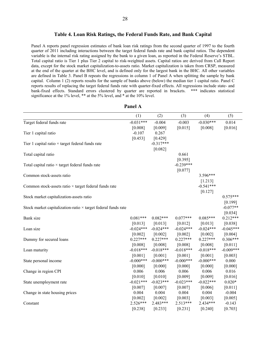#### **Table 4. Loan Risk Ratings, the Federal Funds Rate, and Bank Capital**

Panel A reports panel regression estimates of bank loan risk ratings from the second quarter of 1997 to the fourth quarter of 2011 including interactions between the target federal funds rate and bank capital ratios. The dependent variable is the internal risk rating assigned by the bank to a given loan, as reported in the Federal Reserve's STBL. Total capital ratio is Tier 1 plus Tier 2 capital to risk-weighted assets. Capital ratios are derived from Call Report data, except for the stock market capitalization-to-assets ratio. Market capitalization is taken from CRSP, measured at the end of the quarter at the BHC level, and is defined only for the largest bank in the BHC. All other variables are defined in Table 3. Panel B repeats the regressions in column 1 of Panel A when splitting the sample by bank capital. Column 1 (2) reports results for the sample of banks above (below) the median tier 1 capital ratio. Panel C reports results of replacing the target federal funds rate with quarter-fixed effects. All regressions include state- and bank-fixed effects. Standard errors clustered by quarter are reported in brackets. \*\*\* indicates statistical significance at the 1% level, \*\* at the 5% level, and \* at the 10% level.

|                                                                      | (1)         | (2)         | (3)          | (4)         | (5)         |
|----------------------------------------------------------------------|-------------|-------------|--------------|-------------|-------------|
| Target federal funds rate                                            | $-0.031***$ | $-0.004$    | $-0.003$     | $-0.030***$ | 0.014       |
|                                                                      | [0.008]     | [0.009]     | [0.015]      | [0.008]     | [0.016]     |
| Tier 1 capital ratio                                                 | $-0.107$    | 0.267       |              |             |             |
|                                                                      | [0.453]     | [0.429]     |              |             |             |
| Tier 1 capital ratio $\times$ target federal funds rate              |             | $-0.317***$ |              |             |             |
|                                                                      |             | [0.082]     |              |             |             |
| Total capital ratio                                                  |             |             | 0.661        |             |             |
|                                                                      |             |             | [0.395]      |             |             |
| Total capital ratio $\times$ target federal funds rate               |             |             | $-0.239***$  |             |             |
|                                                                      |             |             | [0.077]      |             |             |
| Common stock-assets ratio                                            |             |             |              | $3.596***$  |             |
|                                                                      |             |             |              | [1.213]     |             |
| Common stock-assets ratio $\times$ target federal funds rate         |             |             |              | $-0.541***$ |             |
|                                                                      |             |             |              | [0.127]     |             |
| Stock market capitalization-assets ratio                             |             |             |              |             | $0.575***$  |
|                                                                      |             |             |              |             | [0.199]     |
| Stock market capitalization-ratio $\times$ target federal funds rate |             |             |              |             | $-0.077**$  |
|                                                                      |             |             |              |             | $[0.034]$   |
| Bank size                                                            | $0.081***$  | $0.082***$  | $0.077***$   | $0.085***$  | $0.212***$  |
|                                                                      | [0.013]     | [0.013]     | [0.012]      | [0.013]     | [0.038]     |
| Loan size                                                            | $-0.024***$ | $-0.024***$ | $-0.024***$  | $-0.024***$ | $-0.045***$ |
|                                                                      | [0.002]     | [0.002]     | [0.002]      | [0.002]     | [0.004]     |
| Dummy for secured loans                                              | $0.227***$  | $0.227***$  | $0.227***$   | $0.227***$  | $0.306***$  |
|                                                                      | [0.008]     | [0.008]     | [0.008]      | [0.008]     | [0.011]     |
| Loan maturity                                                        | $-0.018***$ | $-0.018***$ | $-0.018***$  | $-0.018***$ | $-0.009***$ |
|                                                                      | [0.001]     | [0.001]     | [0.001]      | [0.001]     | [0.003]     |
| State personal income                                                | $-0.000***$ | $-0.000***$ | $-0.000$ *** | $-0.000***$ | 0.000       |
|                                                                      | [0.000]     | [0.000]     | [0.000]      | [0.000]     | [0.000]     |
| Change in region CPI                                                 | 0.006       | 0.006       | 0.006        | 0.006       | 0.016       |
|                                                                      | [0.010]     | [0.010]     | [0.009]      | [0.009]     | [0.016]     |
| State unemployment rate                                              | $-0.021***$ | $-0.023***$ | $-0.023***$  | $-0.022***$ | $0.020*$    |
|                                                                      | [0.007]     | [0.007]     | [0.007]      | [0.006]     | [0.011]     |
| Change in state housing prices                                       | 0.004       | 0.004       | 0.004        | 0.004       | $-0.004$    |
|                                                                      | [0.002]     | [0.002]     | [0.003]      | [0.003]     | [0.005]     |
| Constant                                                             | $2.526***$  | 2.483***    | $2.513***$   | $2.434***$  | $-0.143$    |
|                                                                      | [0.238]     | [0.233]     | [0.231]      | [0.240]     | [0.703]     |

**Panel A**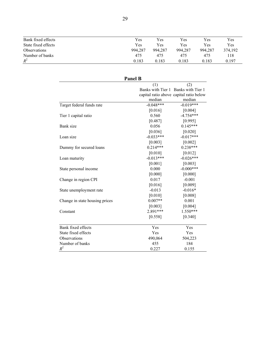| Bank fixed effects  | Yes     | Yes     | Yes     | <b>Yes</b> | Yes     |
|---------------------|---------|---------|---------|------------|---------|
| State fixed effects | Yes     | Yes     | Yes     | Yes.       | Yes     |
| Observations        | 994.287 | 994.287 | 994.287 | 994.287    | 374,192 |
| Number of banks     | 475     | 475     | 475     | 475        | 118     |
| $R^2$               | 0.183   | 0.183   | 0.183   | 0.183      | 0.197   |

| <b>Panel B</b>                 |                                     |                                         |  |  |  |
|--------------------------------|-------------------------------------|-----------------------------------------|--|--|--|
|                                | (1)                                 | (2)                                     |  |  |  |
|                                | Banks with Tier 1 Banks with Tier 1 |                                         |  |  |  |
|                                |                                     | capital ratio above capital ratio below |  |  |  |
|                                | median                              | median                                  |  |  |  |
| Target federal funds rate      | $-0.048***$                         | $-0.019***$                             |  |  |  |
|                                | [0.016]                             | [0.004]                                 |  |  |  |
| Tier 1 capital ratio           | 0.560                               | $-4.754***$                             |  |  |  |
|                                | [0.487]                             | [0.995]                                 |  |  |  |
| Bank size                      | 0.056                               | $0.145***$                              |  |  |  |
|                                | [0.036]                             | [0.020]                                 |  |  |  |
| Loan size                      | $-0.033***$                         | $-0.017***$                             |  |  |  |
|                                | [0.003]                             | [0.002]                                 |  |  |  |
| Dummy for secured loans        | $0.214***$                          | $0.238***$                              |  |  |  |
|                                | [0.010]                             | [0.012]                                 |  |  |  |
| Loan maturity                  | $-0.013***$                         | $-0.026***$                             |  |  |  |
|                                | [0.001]                             | [0.003]                                 |  |  |  |
| State personal income          | 0.000                               | $-0.000***$                             |  |  |  |
|                                | [0.000]                             | [0.000]                                 |  |  |  |
| Change in region CPI           | 0.017                               | $-0.001$                                |  |  |  |
|                                | [0.016]                             | [0.009]                                 |  |  |  |
| State unemployment rate        | $-0.013$                            | $-0.016*$                               |  |  |  |
|                                | [0.010]                             | [0.008]                                 |  |  |  |
| Change in state housing prices | $0.007**$                           | 0.001                                   |  |  |  |
|                                | [0.003]                             | [0.004]                                 |  |  |  |
| Constant                       | 2.891***                            | $1.550***$                              |  |  |  |
|                                | [0.558]                             | [0.340]                                 |  |  |  |
| Bank fixed effects             | Yes                                 | Yes                                     |  |  |  |
| State fixed effects            | Yes                                 | Yes                                     |  |  |  |
| Observations                   | 490,064                             | 504,223                                 |  |  |  |
| Number of banks                | 455                                 | 184                                     |  |  |  |
| $R^2$                          | 0.227                               | 0.155                                   |  |  |  |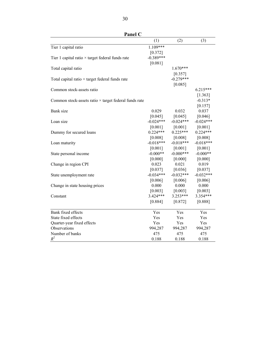|                                                              | (1)                      | (2)                    | (3)                    |
|--------------------------------------------------------------|--------------------------|------------------------|------------------------|
| Tier 1 capital ratio                                         | $1.109***$               |                        |                        |
|                                                              | [0.372]                  |                        |                        |
| Tier 1 capital ratio $\times$ target federal funds rate      | $-0.389***$              |                        |                        |
|                                                              | [0.081]                  |                        |                        |
| Total capital ratio                                          |                          | $1.670***$             |                        |
|                                                              |                          | [0.357]                |                        |
| Total capital ratio $\times$ target federal funds rate       |                          | $-0.279***$            |                        |
|                                                              |                          | [0.085]                |                        |
| Common stock-assets ratio                                    |                          |                        | $6.215***$             |
|                                                              |                          |                        | [1.363]                |
| Common stock-assets ratio $\times$ target federal funds rate |                          |                        | $-0.313*$              |
|                                                              |                          |                        | [0.157]                |
| Bank size                                                    | 0.029                    | 0.032                  | 0.037                  |
|                                                              | [0.045]                  | [0.045]                | [0.046]                |
| Loan size                                                    | $-0.024***$              | $-0.024***$            | $-0.024***$            |
|                                                              | $[0.001]$<br>$0.224***$  | [0.001]                | [0.001]                |
| Dummy for secured loans                                      |                          | $0.225***$             | $0.224***$             |
|                                                              | $[0.008]$<br>$-0.018***$ | [0.008]<br>$-0.018***$ | [0.008]<br>$-0.018***$ |
| Loan maturity                                                |                          |                        |                        |
|                                                              | [0.001]<br>$-0.000**$    | [0.001]<br>$-0.000***$ | [0.001]<br>$-0.000**$  |
| State personal income                                        |                          |                        |                        |
| Change in region CPI                                         | [0.000]<br>0.023         | [0.000]<br>0.021       | [0.000]<br>0.019       |
|                                                              | [0.037]                  | [0.036]                | [0.037]                |
| State unemployment rate                                      | $-0.034***$              | $-0.032***$            | $-0.032***$            |
|                                                              | [0.006]                  | [0.006]                | [0.006]                |
| Change in state housing prices                               | 0.000                    | 0.000                  | 0.000                  |
|                                                              | [0.003]                  | $[0.003]$              | [0.003]                |
| Constant                                                     | $3.424***$               | $3.253***$             | $3.354***$             |
|                                                              | [0.884]                  | [0.872]                | [0.888]                |
|                                                              |                          |                        |                        |
| Bank fixed effects                                           | Yes                      | Yes                    | Yes                    |
| State fixed effects                                          | Yes                      | Yes                    | Yes                    |
| Quarter-year fixed effects                                   | Yes                      | Yes                    | Yes                    |
| Observations                                                 | 994,287                  | 994,287                | 994,287                |
| Number of banks                                              | 475                      | 475                    | 475                    |
| $R^2$                                                        | 0.188                    | 0.188                  | 0.188                  |

**Panel C**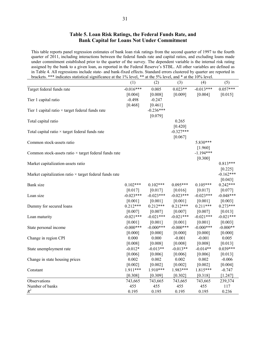## **Table 5. Loan Risk Ratings, the Federal Funds Rate, and Bank Capital for Loans Not Under Commitment**

This table reports panel regression estimates of bank loan risk ratings from the second quarter of 1997 to the fourth quarter of 2011, including interactions between the federal funds rate and capital ratios, and excluding loans made under commitment established prior to the quarter of the survey. The dependent variable is the internal risk rating assigned by the bank to a given loan, as reported in the Federal Reserve's STBL. All other variables are defined as in Table 4. All regressions include state- and bank-fixed effects. Standard errors clustered by quarter are reported in brackets. \*\*\* indicates statistical significance at the 1% level, \*\* at the 5% level, and \* at the 10% level.

|                                                                | (1)         | (2)         | (3)         | (4)         | (5)         |
|----------------------------------------------------------------|-------------|-------------|-------------|-------------|-------------|
| Target federal funds rate                                      | $-0.016***$ | 0.005       | $0.023**$   | $-0.013***$ | $0.057***$  |
|                                                                | [0.004]     | [0.008]     | [0.009]     | [0.004]     | [0.015]     |
| Tier 1 capital ratio                                           | $-0.498$    | $-0.247$    |             |             |             |
|                                                                | [0.468]     | [0.461]     |             |             |             |
| Tier 1 capital ratio $\times$ target federal funds rate        |             | $-0.236***$ |             |             |             |
|                                                                |             | [0.079]     |             |             |             |
| Total capital ratio                                            |             |             | 0.265       |             |             |
|                                                                |             |             | [0.420]     |             |             |
| Total capital ratio $\times$ target federal funds rate         |             |             | $-0.327***$ |             |             |
|                                                                |             |             | [0.067]     |             |             |
| Common stock-assets ratio                                      |             |             |             | 5.830***    |             |
|                                                                |             |             |             | [1.960]     |             |
| Common stock-assets ratio $\times$ target federal funds rate   |             |             |             | $-1.194***$ |             |
|                                                                |             |             |             | [0.300]     |             |
| Market capitalization-assets ratio                             |             |             |             |             | $0.813***$  |
|                                                                |             |             |             |             | [0.225]     |
| Market capitalization ratio $\times$ target federal funds rate |             |             |             |             | $-0.162***$ |
|                                                                |             |             |             |             | $[0.043]$   |
| Bank size                                                      | $0.102***$  | $0.102***$  | $0.095***$  | $0.105***$  | $0.242***$  |
|                                                                | [0.017]     | [0.017]     | [0.016]     | [0.017]     | [0.077]     |
| Loan size                                                      | $-0.023***$ | $-0.023***$ | $-0.023***$ | $-0.023***$ | $-0.048***$ |
|                                                                | [0.001]     | [0.001]     | [0.001]     | $[0.001]$   | $[0.003]$   |
| Dummy for secured loans                                        | $0.212***$  | $0.212***$  | $0.212***$  | $0.211***$  | $0.273***$  |
|                                                                | [0.007]     | [0.007]     | [0.007]     | [0.007]     | $[0.013]$   |
| Loan maturity                                                  | $-0.021***$ | $-0.021***$ | $-0.021***$ | $-0.021***$ | $-0.021***$ |
|                                                                | [0.001]     | [0.001]     | [0.001]     | [0.001]     | [0.003]     |
| State personal income                                          | $-0.000***$ | $-0.000***$ | $-0.000***$ | $-0.000***$ | $-0.000**$  |
|                                                                | [0.000]     | [0.000]     | [0.000]     | [0.000]     | [0.000]     |
| Change in region CPI                                           | 0.000       | 0.000       | $-0.001$    | $-0.001$    | 0.005       |
|                                                                | [0.008]     | [0.008]     | [0.008]     | [0.008]     | [0.013]     |
| State unemployment rate                                        | $-0.012*$   | $-0.013**$  | $-0.013**$  | $-0.014**$  | $0.039***$  |
|                                                                | [0.006]     | [0.006]     | [0.006]     | [0.006]     | [0.013]     |
| Change in state housing prices                                 | 0.002       | 0.002       | 0.002       | 0.002       | $-0.006$    |
|                                                                | [0.002]     | [0.002]     | [0.002]     | [0.002]     | [0.004]     |
| Constant                                                       | $1.911***$  | $1.910***$  | $1.983***$  | $1.815***$  | $-0.747$    |
|                                                                | [0.308]     | [0.309]     | [0.302]     | [0.318]     | [1.247]     |
| Observations                                                   | 743,665     | 743,665     | 743,665     | 743,665     | 239,374     |
| Number of banks                                                | 455         | 455         | 455         | 455         | 117         |
| $R^2$                                                          | 0.195       | 0.195       | 0.195       | 0.195       | 0.236       |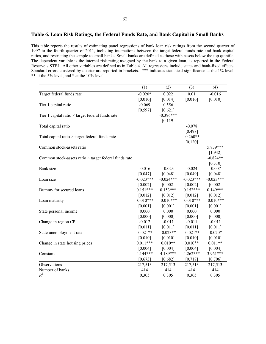#### **Table 6. Loan Risk Ratings, the Federal Funds Rate, and Bank Capital in Small Banks**

This table reports the results of estimating panel regressions of bank loan risk ratings from the second quarter of 1997 to the fourth quarter of 2011, including interactions between the target federal funds rate and bank capital ratios, and restricting the sample to small banks. Small banks are defined as those with assets below the top quintile. The dependent variable is the internal risk rating assigned by the bank to a given loan, as reported in the Federal Reserve's STBL. All other variables are defined as in Table 4. All regressions include state- and bank-fixed effects. Standard errors clustered by quarter are reported in brackets. \*\*\* indicates statistical significance at the 1% level, \*\* at the 5% level, and \* at the 10% level.

|                                                              | (1)         | (2)         | (3)         | (4)         |
|--------------------------------------------------------------|-------------|-------------|-------------|-------------|
| Target federal funds rate                                    | $-0.020*$   | 0.022       | 0.01        | $-0.016$    |
|                                                              | [0.010]     | [0.014]     | [0.016]     | [0.010]     |
| Tier 1 capital ratio                                         | $-0.069$    | 0.556       |             |             |
|                                                              | [0.597]     | [0.621]     |             |             |
| Tier 1 capital ratio $\times$ target federal funds rate      |             | $-0.396***$ |             |             |
|                                                              |             | [0.119]     |             |             |
| Total capital ratio                                          |             |             | $-0.078$    |             |
|                                                              |             |             | [0.498]     |             |
| Total capital ratio $\times$ target federal funds rate       |             |             | $-0.260**$  |             |
|                                                              |             |             | [0.120]     |             |
| Common stock-assets ratio                                    |             |             |             | 5.839***    |
|                                                              |             |             |             | [1.942]     |
| Common stock-assets ratio $\times$ target federal funds rate |             |             |             | $-0.824**$  |
|                                                              |             |             |             | [0.310]     |
| Bank size                                                    | $-0.016$    | $-0.023$    | $-0.024$    | $-0.007$    |
|                                                              | [0.047]     | [0.048]     | [0.049]     | [0.048]     |
| Loan size                                                    | $-0.023***$ | $-0.024***$ | $-0.023***$ | $-0.023***$ |
|                                                              | [0.002]     | $[0.002]$   | [0.002]     | $[0.002]$   |
| Dummy for secured loans                                      | $0.151***$  | $0.153***$  | $0.152***$  | $0.149***$  |
|                                                              | [0.012]     | [0.012]     | $[0.012]$   | [0.012]     |
| Loan maturity                                                | $-0.010***$ | $-0.010***$ | $-0.010***$ | $-0.010***$ |
|                                                              | [0.001]     | [0.001]     | [0.001]     | [0.001]     |
| State personal income                                        | 0.000       | 0.000       | 0.000       | 0.000       |
|                                                              | [0.000]     | [0.000]     | [0.000]     | [0.000]     |
| Change in region CPI                                         | $-0.012$    | $-0.011$    | $-0.011$    | $-0.011$    |
|                                                              | [0.011]     | [0.011]     | [0.011]     | [0.011]     |
| State unemployment rate                                      | $-0.021**$  | $-0.023**$  | $-0.021**$  | $-0.020*$   |
|                                                              | [0.010]     | [0.010]     | [0.010]     | [0.010]     |
| Change in state housing prices                               | $0.011***$  | $0.010**$   | $0.010**$   | $0.011**$   |
|                                                              | [0.004]     | [0.004]     | [0.004]     | [0.004]     |
| Constant                                                     | $4.144***$  | 4.189***    | $4.262***$  | $3.961***$  |
|                                                              | [0.673]     | [0.682]     | [0.717]     | [0.706]     |
| Observations                                                 | 217,513     | 217,513     | 217,513     | 217,513     |
| Number of banks                                              | 414         | 414         | 414         | 414         |
| $R^2$                                                        | 0.305       | 0.305       | 0.305       | 0.305       |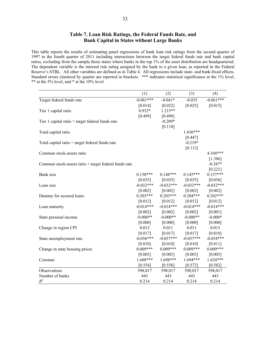## **Table 7. Loan Risk Ratings, the Federal Funds Rate, and Bank Capital in States without Large Banks**

This table reports the results of estimating panel regressions of bank loan risk ratings from the second quarter of 1997 to the fourth quarter of 2011 including interactions between the target federal funds rate and bank capital ratios, excluding from the sample those states where banks in the top 1% of the asset distribution are headquartered. The dependent variable is the internal risk rating assigned by the bank to a given loan, as reported in the Federal Reserve's STBL. All other variables are defined as in Table 4. All regressions include state- and bank-fixed effects. Standard errors clustered by quarter are reported in brackets. \*\*\* indicates statistical significance at the 1% level, \*\* at the 5% level, and \* at the 10% level.

|                                                              | (1)         | (2)         | (3)         | (4)         |
|--------------------------------------------------------------|-------------|-------------|-------------|-------------|
| Target federal funds rate                                    | $-0.061***$ | $-0.041*$   | $-0.035$    | $-0.061***$ |
|                                                              | [0.014]     | [0.022]     | [0.025]     | [0.015]     |
| Tier 1 capital ratio                                         | $0.932*$    | $1.215**$   |             |             |
|                                                              | [0.499]     | [0.498]     |             |             |
| Tier 1 capital ratio $\times$ target federal funds rate      |             | $-0.209*$   |             |             |
|                                                              |             | [0.110]     |             |             |
| Total capital ratio                                          |             |             | $1.436***$  |             |
|                                                              |             |             | [0.447]     |             |
| Total capital ratio $\times$ target federal funds rate       |             |             | $-0.219*$   |             |
|                                                              |             |             | [0.113]     |             |
| Common stock-assets ratio                                    |             |             |             | 4.104***    |
|                                                              |             |             |             | [1.386]     |
| Common stock-assets ratio $\times$ target federal funds rate |             |             |             | $-0.387*$   |
|                                                              |             |             |             | [0.221]     |
| Bank size                                                    | $0.150***$  | $0.148***$  | $0.145***$  | $0.157***$  |
|                                                              | [0.035]     | [0.035]     | [0.035]     | [0.036]     |
| Loan size                                                    | $-0.032***$ | $-0.032***$ | $-0.032***$ | $-0.032***$ |
|                                                              | [0.002]     | [0.002]     | $[0.002]$   | [0.002]     |
| Dummy for secured loans                                      | $0.203***$  | $0.203***$  | $0.204***$  | $0.202***$  |
|                                                              | [0.012]     | [0.012]     | [0.012]     | [0.012]     |
| Loan maturity                                                | $-0.014***$ | $-0.014***$ | $-0.014***$ | $-0.014***$ |
|                                                              | [0.002]     | [0.002]     | [0.002]     | [0.001]     |
| State personal income                                        | $-0.000**$  | $-0.000**$  | $-0.000**$  | $-0.000*$   |
|                                                              | [0.000]     | [0.000]     | [0.000]     | [0.000]     |
| Change in region CPI                                         | 0.012       | 0.011       | 0.011       | 0.013       |
|                                                              | [0.017]     | [0.017]     | $[0.017]$   | [0.018]     |
| State unemployment rate                                      | $-0.056***$ | $-0.057***$ | $-0.057***$ | $-0.054***$ |
|                                                              | [0.010]     | [0.010]     | [0.010]     | [0.011]     |
| Change in state housing prices                               | $0.009***$  | $0.009***$  | $0.009***$  | $0.009***$  |
|                                                              | [0.003]     | [0.003]     | [0.003]     | [0.003]     |
| Constant                                                     | $1.688***$  | $1.698***$  | $1.694***$  | $1.624***$  |
|                                                              | [0.554]     | [0.558]     | [0.572]     | [0.582]     |
| Observations                                                 | 598,017     | 598,017     | 598,017     | 598,017     |
| Number of banks                                              | 443         | 443         | 443         | 443         |
| $R^2$                                                        | 0.214       | 0.214       | 0.214       | 0.214       |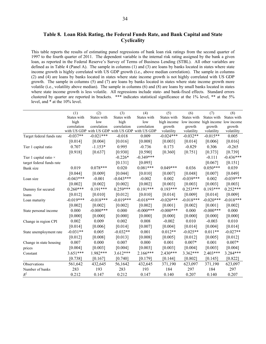## **Table 8. Loan Risk Rating, the Federal Funds Rate, and Bank Capital and State Cyclicality**

This table reports the results of estimating panel regressions of bank loan risk ratings from the second quarter of 1997 to the fourth quarter of 2011. The dependent variable is the internal risk rating assigned by the bank a given loan, as reported in the Federal Reserve's Survey of Terms of Business Lending (STBL). All other variables are defined as in Table 4 (Panel A). The sample in columns (1) and (3) are loans by banks located in states where state income growth is highly correlated with US GDP growth (i.e., above median correlation). The sample in columns (2) and (4) are loans by banks located in states where state income growth is not highly correlated with US GDP growth. The sample in columns (5) and (7) are loans by banks located in states where state income growth more volatile (i.e., volatility above median). The sample in columns (6) and (8) are loans by small banks located in states where state income growth is less volatile. All regressions include state- and bank-fixed effects. Standard errors clustered by quarter are reported in brackets. \*\*\* indicates statistical significance at the 1% level, \*\* at the 5% level, and \* at the 10% level.

|                               | (1)         | (2)         | (3)                                             | (4)         | (5)          | (6)         | (7)                    | (8)         |
|-------------------------------|-------------|-------------|-------------------------------------------------|-------------|--------------|-------------|------------------------|-------------|
|                               | States with | States with | States with                                     | States with | States with  | States with | States with            | States with |
|                               | high        | low         | high                                            | low         | high income  | low income  | high income low income |             |
|                               | correlation | correlation | correlation                                     | correlation | growth       | growth      | growth                 | growth      |
|                               | $-0.037**$  | $-0.021***$ | with US GDP with US GDP with US GDP with US GDP |             | volatility   | volatility  | volatility             | volatility  |
| Target federal funds rate     |             |             | $-0.018$                                        | 0.009       | $-0.024***$  | $-0.032**$  | $-0.015**$             | 0.005       |
|                               | [0.014]     | [0.004]     | [0.016]                                         | [0.008]     | [0.003]      | [0.014]     | [0.006]                | [0.016]     |
| Tier 1 capital ratio          | 0.707       | $-1.153*$   | 0.995                                           | $-0.736$    | 0.173        | $-0.829$    | 0.306                  | $-0.265$    |
|                               | [0.918]     | [0.637]     | [0.930]                                         | [0.590]     | [0.360]      | [0.751]     | [0.373]                | [0.739]     |
| Tier 1 capital ratio $\times$ |             |             | $-0.226*$                                       | $-0.349***$ |              |             | $-0.111$               | $-0.436***$ |
| target federal funds rate     |             |             | [0.131]                                         | [0.095]     |              |             | [0.067]                | [0.151]     |
| Bank size                     | 0.019       | $0.078***$  | 0.020                                           | $0.081***$  | $0.049***$   | 0.036       | $0.050***$             | 0.039       |
|                               | [0.044]     | [0.009]     | [0.044]                                         | [0.010]     | [0.007]      | [0.048]     | [0.007]                | [0.049]     |
| Loan size                     | $-0.043***$ | $-0.001$    | $-0.043***$                                     | $-0.002$    | 0.002        | $-0.039***$ | 0.002                  | $-0.039***$ |
|                               | [0.002]     | [0.002]     | [0.002]                                         | [0.002]     | [0.003]      | [0.003]     | [0.003]                | [0.003]     |
| Dummy for secured             | $0.260***$  | $0.191***$  | $0.259***$                                      | $0.191***$  | $0.193***$   | $0.253***$  | $0.193***$             | $0.252***$  |
| loans                         | [0.012]     | [0.010]     | [0.012]                                         | [0.010]     | [0.014]      | [0.009]     | [0.014]                | [0.009]     |
| Loan maturity                 | $-0.019***$ | $-0.018***$ | $-0.019***$                                     | $-0.018***$ | $-0.020***$  | $-0.018***$ | $-0.020***$            | $-0.018***$ |
|                               | [0.002]     | [0.002]     | [0.002]                                         | [0.002]     | [0.001]      | [0.002]     | [0.001]                | [0.002]     |
| State personal income         | 0.000       | $-0.000***$ | 0.000                                           | $-0.000***$ | $-0.000$ *** | 0.000       | $-0.000***$            | 0.000       |
|                               | [0.000]     | [0.000]     | [0.000]                                         | [0.000]     | [0.000]      | [0.000]     | [0.000]                | [0.000]     |
| Change in region CPI          | 0.002       | 0.009       | 0.002                                           | 0.008       | $-0.002$     | 0.010       | $-0.003$               | 0.010       |
|                               | [0.014]     | [0.006]     | [0.014]                                         | [0.007]     | [0.004]      | [0.014]     | [0.004]                | [0.014]     |
| State unemployment rate       | $-0.031**$  | 0.005       | $-0.032**$                                      | 0.001       | $0.012**$    | $-0.025**$  | $0.011**$              | $-0.027**$  |
|                               | [0.012]     | [0.008]     | [0.013]                                         | [0.008]     | [0.005]      | [0.012]     | [0.005]                | [0.012]     |
| Change in state housing       | 0.007       | 0.000       | 0.007                                           | 0.000       | 0.001        | $0.007*$    | 0.001                  | $0.007*$    |
| prices                        | [0.004]     | [0.003]     | [0.004]                                         | [0.003]     | [0.003]      | [0.004]     | [0.003]                | [0.004]     |
| Constant                      | $3.651***$  | 1.982***    | $3.612***$                                      | $2.166***$  | $2.430***$   | $3.362***$  | $2.403***$             | 3.284***    |
|                               | [0.738]     | [0.167]     | [0.740]                                         | [0.179]     | [0.144]      | [0.802]     | [0.145]                | [0.822]     |
| Observations                  | 561,642     | 432,645     | 56,1642                                         | 432,645     | 371,190      | 623,097     | 371,190                | 623,097     |
| Number of banks               | 283         | 193         | 283                                             | 193         | 184          | 297         | 184                    | 297         |
| $R^2$                         | 0.212       | 0.147       | 0.212                                           | 0.147       | 0.140        | 0.207       | 0.140                  | 0.207       |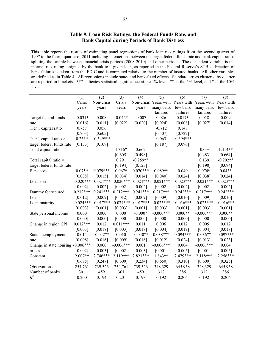## **Table 9. Loan Risk Ratings, the Federal Funds Rate, and Bank Capital during Periods of Bank Distress**

This table reports the results of estimating panel regressions of bank loan risk ratings from the second quarter of 1997 to the fourth quarter of 2011 including interactions between the target federal funds rate and bank capital ratios splitting the sample between financial crisis periods (2008-2010) and other periods. The dependent variable is the internal risk rating assigned by the bank to a given loan, as reported in the Federal Reserve's STBL. Fraction of bank failures is taken from the FDIC and is computed relative to the number of insured banks. All other variables are defined as in Table 4. All regressions include state- and bank-fixed effects. Standard errors clustered by quarter are reported in brackets. \*\*\* indicates statistical significance at the 1% level, \*\* at the 5% level, and \* at the 10% level.

|                                   | (1)         | (2)         | (3)                                 | (4)        | (5)         | (6)         | (7)                                                    | (8)         |
|-----------------------------------|-------------|-------------|-------------------------------------|------------|-------------|-------------|--------------------------------------------------------|-------------|
|                                   | Crisis      | Non-crisis  | Crisis                              |            |             |             | Non-crisis Years with Years with Years with Years with |             |
|                                   | years       | years       | years                               | years      | many bank   | few bank    | many bank                                              | few bank    |
|                                   |             |             |                                     |            | failures    | failures    | failures                                               | failures    |
| Target federal funds              | $-0.031*$   | 0.008       | $-0.042*$                           | $-0.007$   | 0.026       | $0.017*$    | 0.018                                                  | 0.009       |
| rate                              | [0.016]     | [0.011]     | [0.022]                             | [0.020]    | [0.024]     | [0.008]     | [0.027]                                                | [0.014]     |
| Tier 1 capital ratio              | 0.757       | 0.056       |                                     |            | $-0.712$    | 0.148       |                                                        |             |
|                                   | [0.703]     | [0.605]     |                                     |            | [0.507]     | [0.727]     |                                                        |             |
| Tier 1 capital ratio $\times$     | $0.263*$    | $-0.549***$ |                                     |            | 0.063       | $-0.394***$ |                                                        |             |
| target federal funds rate         | [0.133]     | [0.109]     |                                     |            | [0.187]     | [0.096]     |                                                        |             |
| Total capital ratio               |             |             | 1.316*                              | 0.662      |             |             | $-0.003$                                               | 1.414**     |
|                                   |             |             | [0.605]                             | [0.498]    |             |             | [0.483]                                                | [0.664]     |
| Total capital ratio $\times$      |             |             | 0.291                               | $-0.259**$ |             |             | 0.139                                                  | $-0.202**$  |
| target federal funds rate         |             |             | [0.194]                             | [0.123]    |             |             | [0.190]                                                | [0.094]     |
| Bank size                         | $0.075*$    | $0.079***$  | $0.067*$                            | $0.070***$ | $0.089**$   | 0.040       | $0.074*$                                               | $0.043*$    |
|                                   | [0.038]     | [0.015]     | [0.034]                             | [0.014]    | [0.040]     | [0.024]     | [0.038]                                                | [0.024]     |
| Loan size                         | $-0.020***$ |             | $-0.024***$ $-0.020***$ $-0.024***$ |            | $-0.021***$ | $-0.023***$ | $-0.021***$                                            | $-0.023***$ |
|                                   | [0.002]     | [0.002]     | [0.002]                             | [0.002]    | [0.002]     | [0.002]     | [0.002]                                                | [0.002]     |
| Dummy for secured                 | $0.212***$  | $0.241***$  | $0.212***$                          | $0.241***$ | $0.217***$  | $0.242***$  | $0.217***$                                             | $0.242***$  |
| Loans                             | [0.012]     | [0.009]     | [0.012]                             | [0.009]    | [0.009]     | [0.010]     | [0.009]                                                | [0.010]     |
| Loan maturity                     | $-0.024***$ |             | $-0.017***$ $-0.024***$ $-0.017***$ |            | $-0.025***$ | $-0.016***$ | $-0.025***$                                            | $-0.016***$ |
|                                   | [0.003]     | [0.001]     | [0.003]                             | [0.001]    | [0.003]     | [0.001]     | [0.003]                                                | [0.001]     |
| State personal income             | 0.000       | 0.000       | 0.000                               | $-0.000*$  | $-0.000***$ | $0.000**$   | $-0.000***$                                            | $0.000**$   |
|                                   | [0.000]     | [0.000]     | [0.000]                             | [0.000]    | [0.000]     | [0.000]     | [0.000]                                                | [0.000]     |
| Change in region CPI              | $0.012***$  | 0.012       | $0.011***$                          | 0.011      | 0.006       | 0.012       | 0.005                                                  | 0.012       |
|                                   | [0.003]     | [0.018]     | [0.003]                             | [0.018]    | [0.004]     | [0.019]     | [0.004]                                                | [0.018]     |
| State unemployment                | 0.014       | $-0.042**$  | 0.010                               | $-0.040**$ | $0.038***$  | $0.094***$  | $0.036**$                                              | $0.097***$  |
| rate                              | [0.008]     | $[0.016]$   | $[0.009]$                           | [0.016]    | $[0.012]$   | [0.024]     | $[0.013]$                                              | $[0.023]$   |
| Change in state housing -0.006*** |             | 0.000       | $-0.006***$                         | 0.001      | $-0.006***$ | 0.004       | $-0.006***$                                            | 0.004       |
| prices                            | [0.002]     | [0.003]     | [0.002]                             | [0.003]    | [0.001]     | [0.005]     | [0.001]                                                | [0.005]     |
| Constant                          | 2.007**     | 2.746***    | 2.119***                            | $2.821***$ | $1.843**$   | 2.479***    | 2.118***                                               | 2.256***    |
|                                   | [0.675]     | [0.247]     | [0.600]                             | [0.234]    | [0.650]     | [0.310]     | [0.609]                                                | [0.325]     |
| Observations                      | 254,761     | 739,526     | 254,761                             | 739,526    | 348,329     | 645,958     | 348,329                                                | 645,958     |
| Number of banks                   | 301         | 459         | 301                                 | 459        | 312         | 386         | 312                                                    | 386         |
| $R^2$                             | 0.200       | 0.194       | 0.201                               | 0.193      | 0.192       | 0.206       | 0.192                                                  | 0.206       |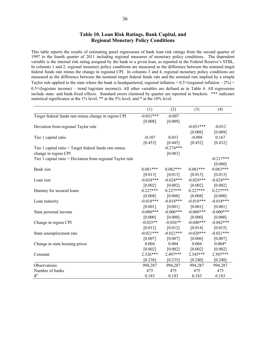## **Table 10. Loan Risk Ratings, Bank Capital, and Regional Monetary Policy Conditions**

This table reports the results of estimating panel regressions of bank loan risk ratings from the second quarter of 1997 to the fourth quarter of 2011 including regional measures of monetary policy conditions. The dependent variable is the internal risk rating assigned by the bank to a given loan, as reported in the Federal Reserve's STBL. In columns 1 and 2, regional monetary policy conditions are measured as the difference between the nominal target federal funds rate minus the change in regional CPI. In columns 3 and 4, regional monetary policy conditions are measured as the difference between the nominal target federal funds rate and the nominal rate implied by a simple Taylor rule applied to the state where the bank is headquartered, regional inflation +  $0.5\times$  (regional inflation – 2%) +  $0.5 \times$ (log(state income) – trend log(state income)). All other variables are defined as in Table 4. All regressions include state- and bank-fixed effects. Standard errors clustered by quarter are reported in brackets. \*\*\* indicates statistical significance at the 1% level, \*\* at the 5% level, and \* at the 10% level.

|                                                                   | (1)         | (2)         | (3)         | (4)         |
|-------------------------------------------------------------------|-------------|-------------|-------------|-------------|
| Target federal funds rate minus change in region CPI              | $-0.031***$ | $-0.007$    |             |             |
|                                                                   | [0.008]     | [0.009]     |             |             |
| Deviation from regional Taylor rule                               |             |             | $-0.031***$ | $-0.012$    |
|                                                                   |             |             | [0.008]     | [0.009]     |
| Tier 1 capital ratio                                              | $-0.107$    | 0.033       | $-0.098$    | 0.167       |
|                                                                   | [0.453]     | [0.445]     | [0.452]     | [0.432]     |
| Tier 1 capital ratio $\times$ Target federal funds rate minus     |             | $-0.274***$ |             |             |
| change in region CPI                                              |             | [0.083]     |             |             |
| Tier 1 capital ratio $\times$ Deviation from regional Taylor rule |             |             |             | $-0.217***$ |
|                                                                   |             |             |             | [0.080]     |
| Bank size                                                         | $0.081***$  | $0.082***$  | $0.081***$  | $0.083***$  |
|                                                                   | [0.013]     | [0.013]     | [0.013]     | [0.013]     |
| Loan size                                                         | $-0.024***$ | $-0.024***$ | $-0.024***$ | $-0.024***$ |
|                                                                   | [0.002]     | $[0.002]$   | [0.002]     | [0.002]     |
| Dummy for secured loans                                           | $0.227***$  | $0.227***$  | $0.227***$  | $0.227***$  |
|                                                                   | [0.008]     | [0.008]     | [0.008]     | [0.008]     |
| Loan maturity                                                     | $-0.018***$ | $-0.018***$ | $-0.018***$ | $-0.018***$ |
|                                                                   | [0.001]     | [0.001]     | [0.001]     | [0.001]     |
| State personal income                                             | $-0.000***$ | $-0.000***$ | $-0.000***$ | $-0.000***$ |
|                                                                   | [0.000]     | [0.000]     | [0.000]     | [0.000]     |
| Change in region CPI                                              | $-0.025**$  | $-0.026**$  | $-0.040***$ | $-0.042***$ |
|                                                                   | [0.012]     | [0.012]     | [0.014]     | [0.015]     |
| State unemployment rate                                           | $-0.021***$ | $-0.022***$ | $-0.020***$ | $-0.021***$ |
|                                                                   | [0.007]     | [0.007]     | [0.006]     | [0.007]     |
| Change in state housing prices                                    | 0.004       | 0.004       | 0.004       | $0.004*$    |
|                                                                   | [0.002]     | [0.002]     | [0.002]     | [0.002]     |
| Constant                                                          | $2.526***$  | $2.497***$  | $2.545***$  | $2.507***$  |
|                                                                   | [0.238]     | [0.235]     | [0.240]     | [0.240]     |
| Observations                                                      | 994,287     | 994,287     | 994,287     | 994,287     |
| Number of banks                                                   | 475         | 475         | 475         | 475         |
| $R^2$                                                             | 0.183       | 0.183       | 0.183       | 0.183       |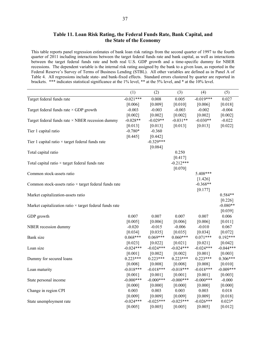## **Table 11. Loan Risk Rating, the Federal Funds Rate, Bank Capital, and the State of the Economy**

This table reports panel regression estimates of bank loan risk ratings from the second quarter of 1997 to the fourth quarter of 2011 including interactions between the target federal funds rate and bank capital, as well as interactions between the target federal funds rate and both real U.S. GDP growth and a time-specific dummy for NBER recessions. The dependent variable is the internal risk rating assigned by the bank to a given loan, as reported in the Federal Reserve's Survey of Terms of Business Lending (STBL). All other variables are defined as in Panel A of Table 4. All regressions include state- and bank-fixed effects. Standard errors clustered by quarter are reported in brackets. \*\*\* indicates statistical significance at the 1% level, \*\* at the 5% level, and \* at the 10% level.

|                                                              | (1)                    | (2)              | (3)              | (4)              | (5)              |
|--------------------------------------------------------------|------------------------|------------------|------------------|------------------|------------------|
| Target federal funds rate                                    | $-0.021***$            | 0.008            | 0.005            | $-0.019***$      | 0.027            |
|                                                              | [0.006]                | [0.009]          | [0.010]          | [0.006]          | [0.018]          |
| Target federal funds rate $\times$ GDP growth                | $-0.003$               | $-0.003$         | $-0.003$         | $-0.002$         | $-0.004$         |
|                                                              | [0.002]                | [0.002]          | [0.002]          | [0.002]          | [0.002]          |
| Target federal funds rate $\times$ NBER recession dummy      | $-0.028**$             | $-0.029**$       | $-0.031**$       | $-0.030**$       | $-0.022$         |
|                                                              | [0.013]                | [0.013]          | [0.013]          | [0.013]          | [0.022]          |
| Tier 1 capital ratio                                         | $-0.780*$              | $-0.360$         |                  |                  |                  |
|                                                              | [0.445]                | [0.442]          |                  |                  |                  |
| Tier 1 capital ratio $\times$ target federal funds rate      |                        | $-0.329***$      |                  |                  |                  |
|                                                              |                        | [0.084]          |                  |                  |                  |
| Total capital ratio                                          |                        |                  | 0.250            |                  |                  |
|                                                              |                        |                  | [0.417]          |                  |                  |
| Total capital ratio $\times$ target federal funds rate       |                        |                  | $-0.212***$      |                  |                  |
|                                                              |                        |                  | [0.070]          |                  |                  |
| Common stock-assets ratio                                    |                        |                  |                  | 5.408***         |                  |
|                                                              |                        |                  |                  | [1.426]          |                  |
| Common stock-assets ratio $\times$ target federal funds rate |                        |                  |                  | $-0.368**$       |                  |
|                                                              |                        |                  |                  | [0.177]          |                  |
| Market capitalization-assets ratio                           |                        |                  |                  |                  | $0.584**$        |
|                                                              |                        |                  |                  |                  | [0.226]          |
| Market capitalization ratio × target federal funds rate      |                        |                  |                  |                  | $-0.080**$       |
|                                                              |                        |                  |                  |                  | [0.039]          |
| GDP growth                                                   | 0.007                  | 0.007            | 0.007            | 0.007            | 0.006            |
|                                                              | [0.005]                | [0.006]          | [0.006]          | [0.006]          | [0.011]          |
| NBER recession dummy                                         | $-0.020$               | $-0.015$         | $-0.006$         | $-0.010$         | 0.067            |
|                                                              | [0.034]                | [0.035]          | [0.035]          | [0.034]          | [0.072]          |
| Bank size                                                    | $0.068***$             | $0.069***$       | $0.060***$       | $0.071***$       | $0.192***$       |
|                                                              | [0.023]                | [0.022]          | [0.021]          | [0.021]          | [0.042]          |
| Loan size                                                    | $-0.024***$            | $-0.024***$      | $-0.024***$      | $-0.024***$      | $-0.044***$      |
|                                                              | [0.001]                | [0.002]          | [0.002]          | [0.001]          | [0.003]          |
| Dummy for secured loans                                      | $0.223***$             | $0.223***$       | $0.223***$       | $0.223***$       | $0.306***$       |
|                                                              | [0.008]                | [0.008]          | [0.008]          | [0.008]          | [0.010]          |
| Loan maturity                                                | $-0.018***$            | $-0.018***$      | $-0.018***$      | $-0.018***$      | $-0.009***$      |
|                                                              | [0.001]                | [0.001]          | [0.001]          | [0.001]          | [0.003]          |
| State personal income                                        | $-0.000***$            | $-0.000***$      | $-0.000***$      | $-0.000***$      | $-0.000$         |
|                                                              |                        |                  |                  |                  |                  |
|                                                              | [0.000]<br>0.003       | [0.000]<br>0.003 | [0.000]<br>0.003 | [0.000]<br>0.003 | [0.000]<br>0.018 |
| Change in region CPI                                         |                        |                  |                  |                  |                  |
|                                                              | [0.009]<br>$-0.024***$ | [0.009]          | [0.009]          | [0.009]          | $[0.018]$        |
| State unemployment rate                                      |                        | $-0.025***$      | $-0.025***$      | $-0.026***$      | $0.023*$         |
|                                                              | [0.005]                | [0.005]          | [0.005]          | [0.005]          | [0.012]          |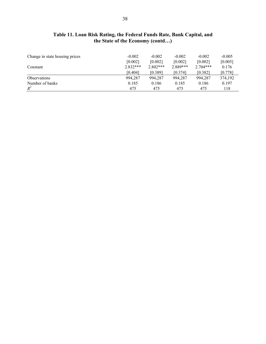| Change in state housing prices | $-0.002$   | $-0.002$   | $-0.002$ | $-0.002$   | $-0.005$ |
|--------------------------------|------------|------------|----------|------------|----------|
|                                | [0.002]    | [0.002]    | [0.002]  | [0.002]    | [0.005]  |
| Constant                       | $2.832***$ | $2.802***$ | 2.889*** | $2.704***$ | 0.176    |
|                                | [0.404]    | [0.389]    | [0.374]  | [0.382]    | [0.778]  |
| <i><b>Observations</b></i>     | 994,287    | 994.287    | 994.287  | 994,287    | 374,192  |
| Number of banks                | 0.185      | 0.186      | 0.185    | 0.186      | 0.197    |
| $R^2$                          | 475        | 475        | 475      | 475        | 118      |

## **Table 11. Loan Risk Rating, the Federal Funds Rate, Bank Capital, and the State of the Economy (contd…)**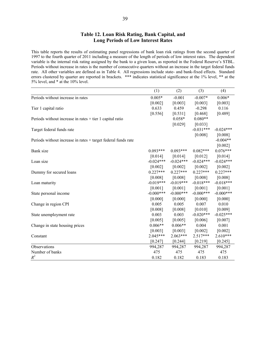## **Table 12. Loan Risk Rating, Bank Capital, and Long Periods of Low Interest Rates**

This table reports the results of estimating panel regressions of bank loan risk ratings from the second quarter of 1997 to the fourth quarter of 2011 including a measure of the length of periods of low interest rates. The dependent variable is the internal risk rating assigned by the bank to a given loan, as reported in the Federal Reserve's STBL. Periods without increase in rates is the number of consecutive quarters without an increase in the target federal funds rate. All other variables are defined as in Table 4. All regressions include state- and bank-fixed effects. Standard errors clustered by quarter are reported in brackets. \*\*\* indicates statistical significance at the 1% level, \*\* at the 5% level, and \* at the 10% level.

|                                                                      | (1)         | (2)         | (3)         | (4)         |
|----------------------------------------------------------------------|-------------|-------------|-------------|-------------|
| Periods without increase in rates                                    | $0.005*$    | $-0.001$    | $-0.007*$   | $0.006*$    |
|                                                                      | [0.002]     | [0.003]     | [0.003]     | [0.003]     |
| Tier 1 capital ratio                                                 | 0.633       | 0.459       | $-0.298$    | 0.116       |
|                                                                      | [0.556]     | [0.531]     | [0.468]     | [0.489]     |
| Periods without increase in rates $\times$ tier 1 capital ratio      |             | $0.058*$    | $0.080**$   |             |
|                                                                      |             | [0.029]     | [0.033]     |             |
| Target federal funds rate                                            |             |             | $-0.031***$ | $-0.024***$ |
|                                                                      |             |             | [0.008]     | [0.008]     |
| Periods without increase in rates $\times$ target federal funds rate |             |             |             | $-0.004**$  |
|                                                                      |             |             |             | [0.002]     |
| Bank size                                                            | $0.093***$  | $0.093***$  | $0.082***$  | $0.076***$  |
|                                                                      | [0.014]     | [0.014]     | [0.012]     | [0.014]     |
| Loan size                                                            | $-0.024***$ | $-0.024***$ | $-0.024***$ | $-0.024***$ |
|                                                                      | [0.002]     | [0.002]     | [0.002]     | [0.002]     |
| Dummy for secured loans                                              | $0.227***$  | $0.227***$  | $0.227***$  | $0.227***$  |
|                                                                      | [0.008]     | [0.008]     | [0.008]     | [0.008]     |
| Loan maturity                                                        | $-0.019***$ | $-0.019***$ | $-0.018***$ | $-0.018***$ |
|                                                                      | [0.001]     | [0.001]     | [0.001]     | [0.001]     |
| State personal income                                                | $-0.000***$ | $-0.000***$ | $-0.000***$ | $-0.000***$ |
|                                                                      | [0.000]     | [0.000]     | [0.000]     | [0.000]     |
| Change in region CPI                                                 | 0.005       | 0.005       | 0.007       | 0.010       |
|                                                                      | [0.008]     | [0.008]     | [0.010]     | [0.009]     |
| State unemployment rate                                              | 0.003       | 0.003       | $-0.020***$ | $-0.025***$ |
|                                                                      | [0.005]     | [0.005]     | [0.006]     | [0.007]     |
| Change in state housing prices                                       | $0.006**$   | $0.006**$   | 0.004       | 0.001       |
|                                                                      | [0.003]     | [0.003]     | [0.002]     | [0.002]     |
| Constant                                                             | $2.045***$  | $2.063***$  | $2.517***$  | $2.610***$  |
|                                                                      | [0.247]     | [0.244]     | [0.219]     | [0.245]     |
| Observations                                                         | 994,287     | 994,287     | 994,287     | 994,287     |
| Number of banks                                                      | 475         | 475         | 475         | 475         |
| $R^2$                                                                | 0.182       | 0.182       | 0.183       | 0.183       |